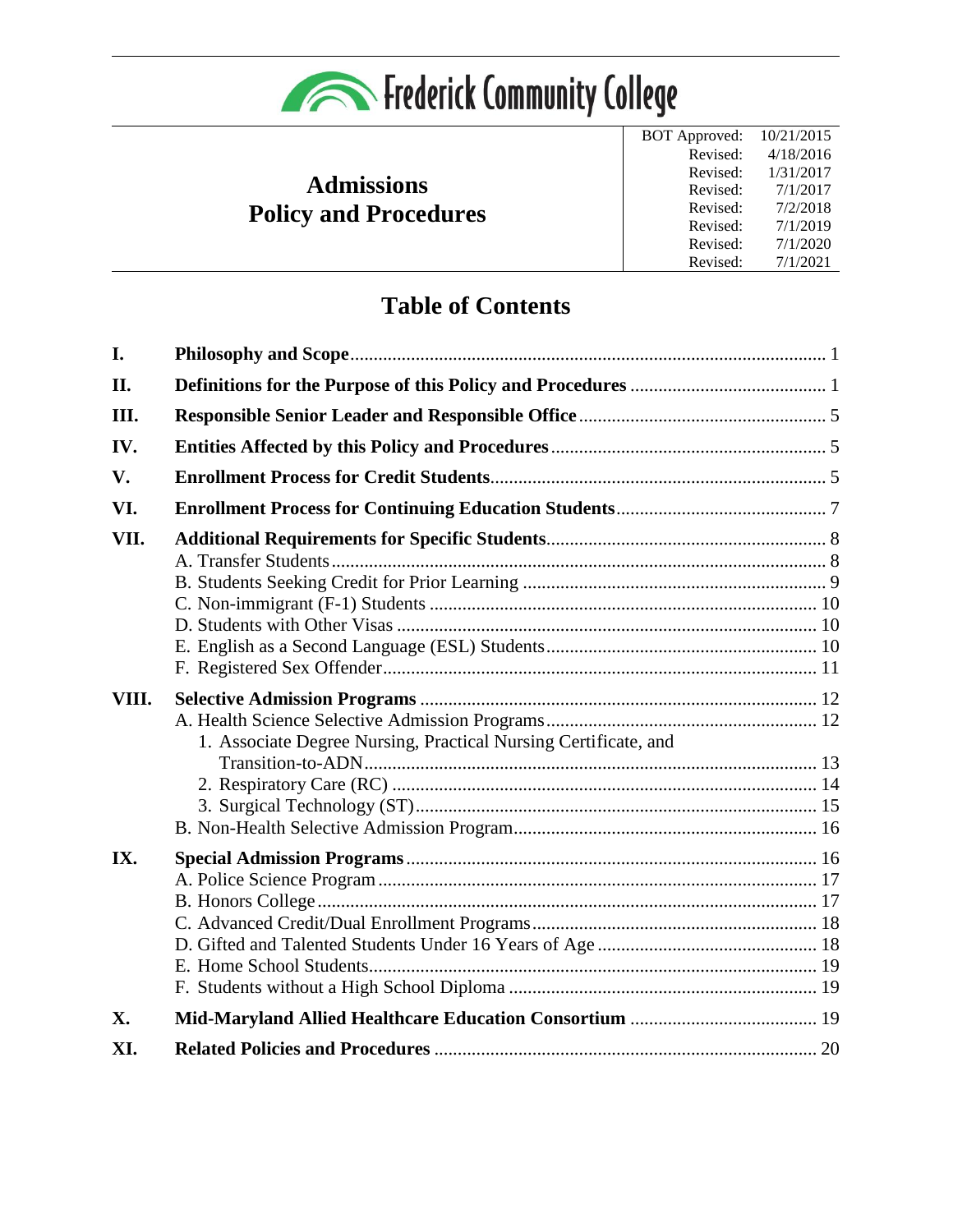

## **Admissions Policy and Procedures**

| <b>BOT</b> Approved: | 10/21/2015 |
|----------------------|------------|
| Revised:             | 4/18/2016  |
| Revised:             | 1/31/2017  |
| Revised:             | 7/1/2017   |
| Revised:             | 7/2/2018   |
| Revised:             | 7/1/2019   |
| Revised:             | 7/1/2020   |
| Revised:             | 7/1/2021   |

# **Table of Contents**

| I.    |                                                                 |  |
|-------|-----------------------------------------------------------------|--|
| II.   |                                                                 |  |
| III.  |                                                                 |  |
| IV.   |                                                                 |  |
| V.    |                                                                 |  |
| VI.   |                                                                 |  |
| VII.  |                                                                 |  |
| VIII. | 1. Associate Degree Nursing, Practical Nursing Certificate, and |  |
| IX.   |                                                                 |  |
| X.    |                                                                 |  |
| XI.   |                                                                 |  |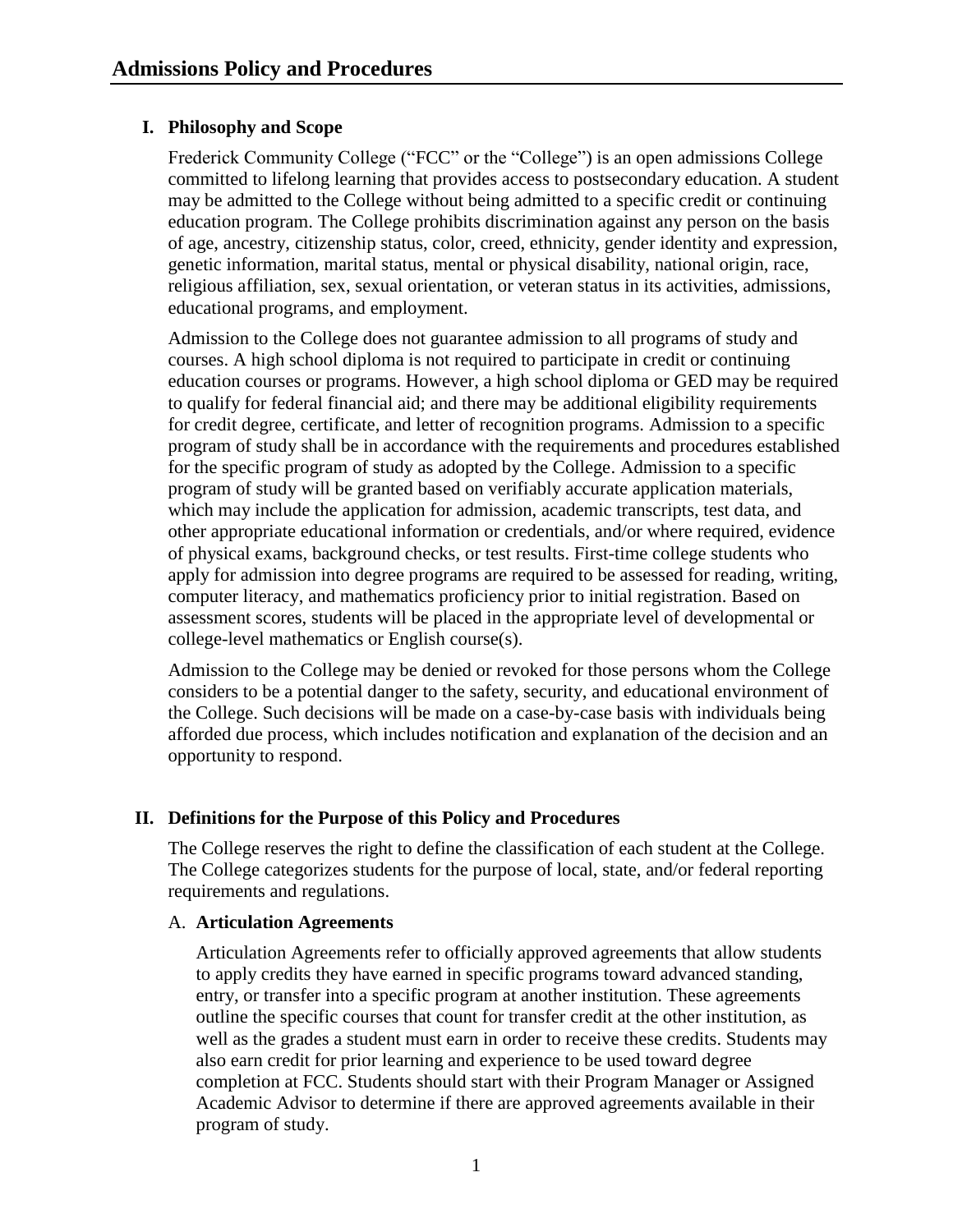## <span id="page-1-0"></span>**I. Philosophy and Scope**

Frederick Community College ("FCC" or the "College") is an open admissions College committed to lifelong learning that provides access to postsecondary education. A student may be admitted to the College without being admitted to a specific credit or continuing education program. The College prohibits discrimination against any person on the basis of age, ancestry, citizenship status, color, creed, ethnicity, gender identity and expression, genetic information, marital status, mental or physical disability, national origin, race, religious affiliation, sex, sexual orientation, or veteran status in its activities, admissions, educational programs, and employment.

Admission to the College does not guarantee admission to all programs of study and courses. A high school diploma is not required to participate in credit or continuing education courses or programs. However, a high school diploma or GED may be required to qualify for federal financial aid; and there may be additional eligibility requirements for credit degree, certificate, and letter of recognition programs. Admission to a specific program of study shall be in accordance with the requirements and procedures established for the specific program of study as adopted by the College. Admission to a specific program of study will be granted based on verifiably accurate application materials, which may include the application for admission, academic transcripts, test data, and other appropriate educational information or credentials, and/or where required, evidence of physical exams, background checks, or test results. First-time college students who apply for admission into degree programs are required to be assessed for reading, writing, computer literacy, and mathematics proficiency prior to initial registration. Based on assessment scores, students will be placed in the appropriate level of developmental or college-level mathematics or English course(s).

Admission to the College may be denied or revoked for those persons whom the College considers to be a potential danger to the safety, security, and educational environment of the College. Such decisions will be made on a case-by-case basis with individuals being afforded due process, which includes notification and explanation of the decision and an opportunity to respond.

## <span id="page-1-1"></span>**II. Definitions for the Purpose of this Policy and Procedures**

The College reserves the right to define the classification of each student at the College. The College categorizes students for the purpose of local, state, and/or federal reporting requirements and regulations.

## A. **Articulation Agreements**

Articulation Agreements refer to officially approved agreements that allow students to apply credits they have earned in specific programs toward advanced standing, entry, or transfer into a specific program at another institution. These agreements outline the specific courses that count for transfer credit at the other institution, as well as the grades a student must earn in order to receive these credits. Students may also earn credit for prior learning and experience to be used toward degree completion at FCC. Students should start with their Program Manager or Assigned Academic Advisor to determine if there are approved agreements available in their program of study.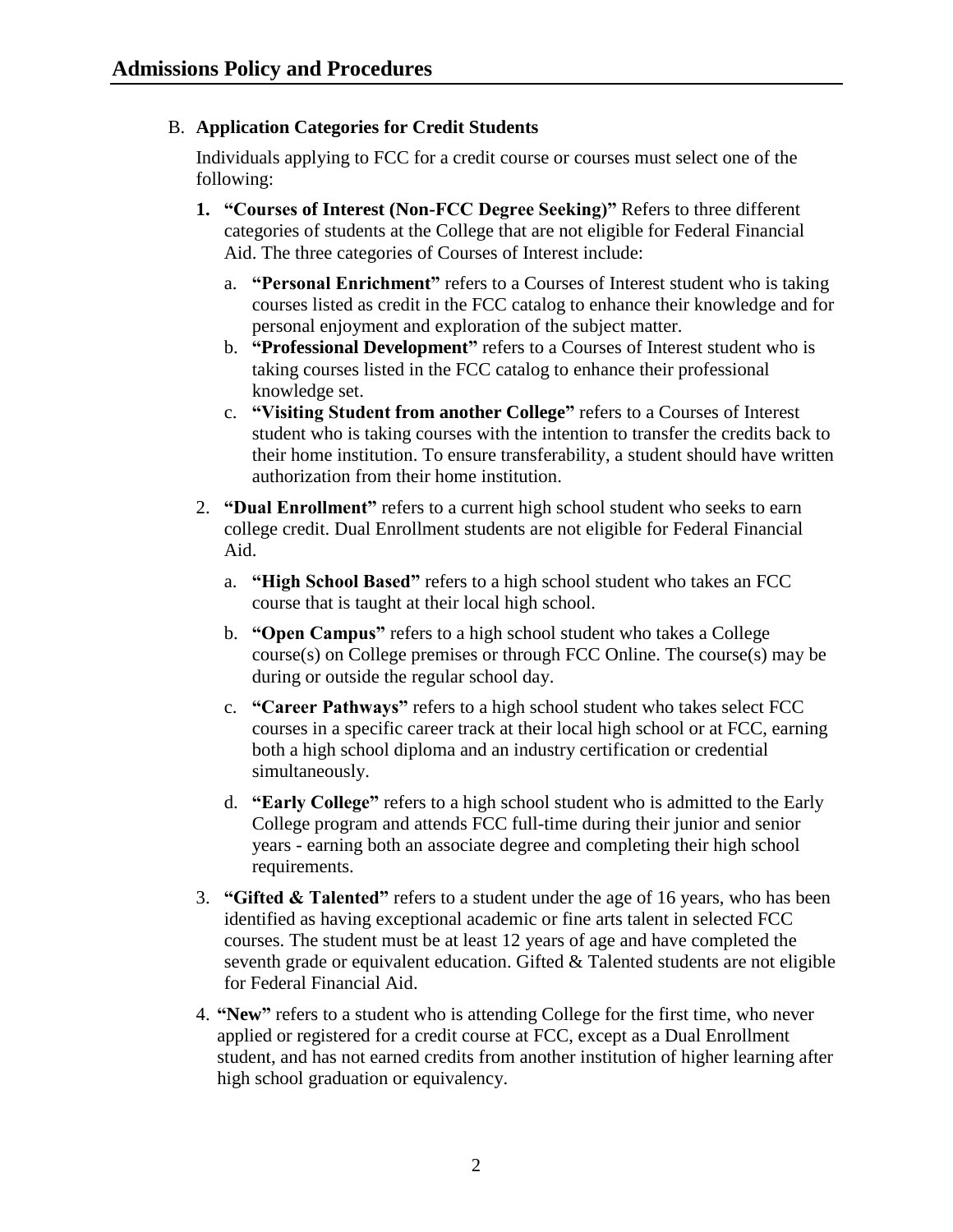## B. **Application Categories for Credit Students**

Individuals applying to FCC for a credit course or courses must select one of the following:

- **1. "Courses of Interest (Non-FCC Degree Seeking)"** Refers to three different categories of students at the College that are not eligible for Federal Financial Aid. The three categories of Courses of Interest include:
	- a. **"Personal Enrichment"** refers to a Courses of Interest student who is taking courses listed as credit in the FCC catalog to enhance their knowledge and for personal enjoyment and exploration of the subject matter.
	- b. **"Professional Development"** refers to a Courses of Interest student who is taking courses listed in the FCC catalog to enhance their professional knowledge set.
	- c. **"Visiting Student from another College"** refers to a Courses of Interest student who is taking courses with the intention to transfer the credits back to their home institution. To ensure transferability, a student should have written authorization from their home institution.
- 2. **"Dual Enrollment"** refers to a current high school student who seeks to earn college credit. Dual Enrollment students are not eligible for Federal Financial Aid.
	- a. **"High School Based"** refers to a high school student who takes an FCC course that is taught at their local high school.
	- b. **"Open Campus"** refers to a high school student who takes a College course(s) on College premises or through FCC Online. The course(s) may be during or outside the regular school day.
	- c. **"Career Pathways"** refers to a high school student who takes select FCC courses in a specific career track at their local high school or at FCC, earning both a high school diploma and an industry certification or credential simultaneously.
	- d. **"Early College"** refers to a high school student who is admitted to the Early College program and attends FCC full-time during their junior and senior years - earning both an associate degree and completing their high school requirements.
- 3. **"Gifted & Talented"** refers to a student under the age of 16 years, who has been identified as having exceptional academic or fine arts talent in selected FCC courses. The student must be at least 12 years of age and have completed the seventh grade or equivalent education. Gifted  $&$  Talented students are not eligible for Federal Financial Aid.
- 4. **"New"** refers to a student who is attending College for the first time, who never applied or registered for a credit course at FCC, except as a Dual Enrollment student, and has not earned credits from another institution of higher learning after high school graduation or equivalency.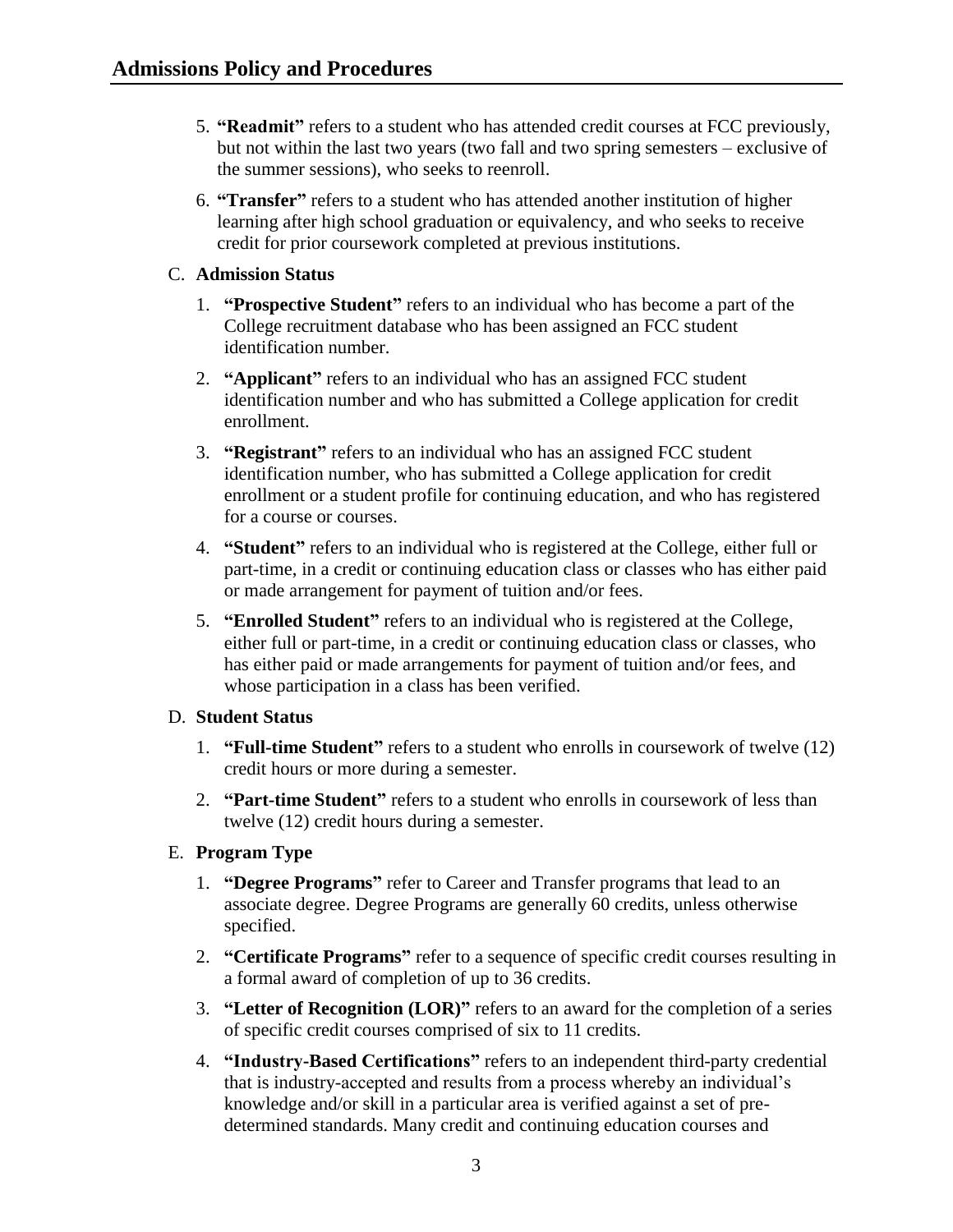- 5. **"Readmit"** refers to a student who has attended credit courses at FCC previously, but not within the last two years (two fall and two spring semesters – exclusive of the summer sessions), who seeks to reenroll.
- 6. **"Transfer"** refers to a student who has attended another institution of higher learning after high school graduation or equivalency, and who seeks to receive credit for prior coursework completed at previous institutions.

## C. **Admission Status**

- 1. **"Prospective Student"** refers to an individual who has become a part of the College recruitment database who has been assigned an FCC student identification number.
- 2. **"Applicant"** refers to an individual who has an assigned FCC student identification number and who has submitted a College application for credit enrollment.
- 3. **"Registrant"** refers to an individual who has an assigned FCC student identification number, who has submitted a College application for credit enrollment or a student profile for continuing education, and who has registered for a course or courses.
- 4. **"Student"** refers to an individual who is registered at the College, either full or part-time, in a credit or continuing education class or classes who has either paid or made arrangement for payment of tuition and/or fees.
- 5. **"Enrolled Student"** refers to an individual who is registered at the College, either full or part-time, in a credit or continuing education class or classes, who has either paid or made arrangements for payment of tuition and/or fees, and whose participation in a class has been verified.

## D. **Student Status**

- 1. **"Full-time Student"** refers to a student who enrolls in coursework of twelve (12) credit hours or more during a semester.
- 2. **"Part-time Student"** refers to a student who enrolls in coursework of less than twelve (12) credit hours during a semester.

## E. **Program Type**

- 1. **"Degree Programs"** refer to Career and Transfer programs that lead to an associate degree. Degree Programs are generally 60 credits, unless otherwise specified.
- 2. **"Certificate Programs"** refer to a sequence of specific credit courses resulting in a formal award of completion of up to 36 credits.
- 3. **"Letter of Recognition (LOR)"** refers to an award for the completion of a series of specific credit courses comprised of six to 11 credits.
- 4. **"Industry-Based Certifications"** refers to an independent third-party credential that is industry-accepted and results from a process whereby an individual's knowledge and/or skill in a particular area is verified against a set of predetermined standards. Many credit and continuing education courses and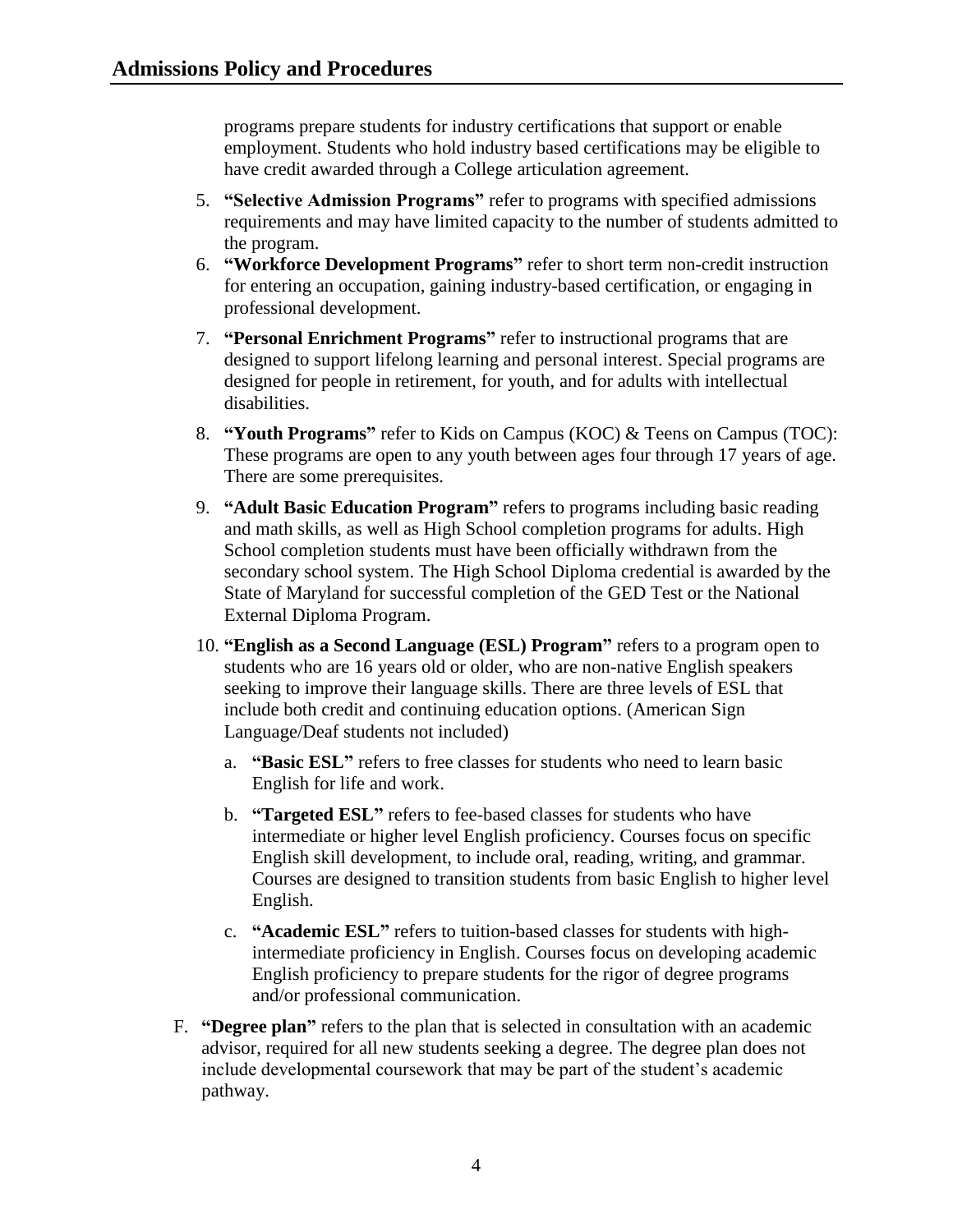programs prepare students for industry certifications that support or enable employment. Students who hold industry based certifications may be eligible to have credit awarded through a College articulation agreement.

- 5. **"Selective Admission Programs"** refer to programs with specified admissions requirements and may have limited capacity to the number of students admitted to the program.
- 6. **"Workforce Development Programs"** refer to short term non-credit instruction for entering an occupation, gaining industry-based certification, or engaging in professional development.
- 7. **"Personal Enrichment Programs"** refer to instructional programs that are designed to support lifelong learning and personal interest. Special programs are designed for people in retirement, for youth, and for adults with intellectual disabilities.
- 8. **"Youth Programs"** refer to Kids on Campus (KOC) & Teens on Campus (TOC): These programs are open to any youth between ages four through 17 years of age. There are some prerequisites.
- 9. **"Adult Basic Education Program"** refers to programs including basic reading and math skills, as well as High School completion programs for adults. High School completion students must have been officially withdrawn from the secondary school system. The High School Diploma credential is awarded by the State of Maryland for successful completion of the GED Test or the National External Diploma Program.
- 10. **"English as a Second Language (ESL) Program"** refers to a program open to students who are 16 years old or older, who are non-native English speakers seeking to improve their language skills. There are three levels of ESL that include both credit and continuing education options. (American Sign Language/Deaf students not included)
	- a. **"Basic ESL"** refers to free classes for students who need to learn basic English for life and work.
	- b. **"Targeted ESL"** refers to fee-based classes for students who have intermediate or higher level English proficiency. Courses focus on specific English skill development, to include oral, reading, writing, and grammar. Courses are designed to transition students from basic English to higher level English.
	- c. **"Academic ESL"** refers to tuition-based classes for students with highintermediate proficiency in English. Courses focus on developing academic English proficiency to prepare students for the rigor of degree programs and/or professional communication.
- F. **"Degree plan"** refers to the plan that is selected in consultation with an academic advisor, required for all new students seeking a degree. The degree plan does not include developmental coursework that may be part of the student's academic pathway.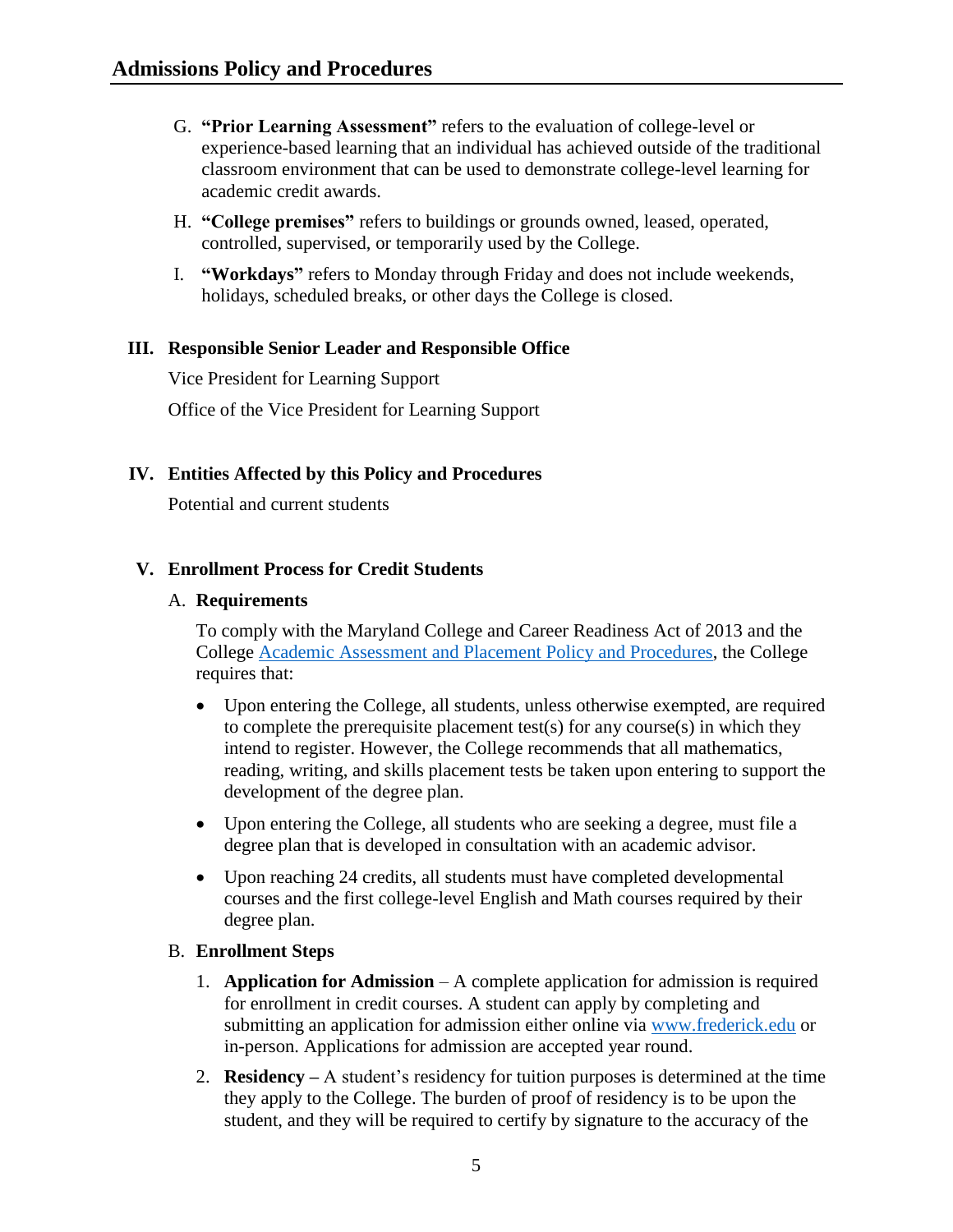- G. **"Prior Learning Assessment"** refers to the evaluation of college-level or experience-based learning that an individual has achieved outside of the traditional classroom environment that can be used to demonstrate college-level learning for academic credit awards.
- H. **"College premises"** refers to buildings or grounds owned, leased, operated, controlled, supervised, or temporarily used by the College.
- I. **"Workdays"** refers to Monday through Friday and does not include weekends, holidays, scheduled breaks, or other days the College is closed.

#### <span id="page-5-0"></span>**III. Responsible Senior Leader and Responsible Office**

Vice President for Learning Support Office of the Vice President for Learning Support

#### <span id="page-5-1"></span>**IV. Entities Affected by this Policy and Procedures**

Potential and current students

#### <span id="page-5-2"></span>**V. Enrollment Process for Credit Students**

#### A. **Requirements**

To comply with the Maryland College and Career Readiness Act of 2013 and the College [Academic Assessment and Placement Policy and Procedures,](https://www.frederick.edu/jobs-hr/policies-and-procedures/policyproceduredocuments/academic-assessment.aspx) the College requires that:

- Upon entering the College, all students, unless otherwise exempted, are required to complete the prerequisite placement test(s) for any course(s) in which they intend to register. However, the College recommends that all mathematics, reading, writing, and skills placement tests be taken upon entering to support the development of the degree plan.
- Upon entering the College, all students who are seeking a degree, must file a degree plan that is developed in consultation with an academic advisor.
- Upon reaching 24 credits, all students must have completed developmental courses and the first college-level English and Math courses required by their degree plan.

#### B. **Enrollment Steps**

- 1. **Application for Admission** A complete application for admission is required for enrollment in credit courses. A student can apply by completing and submitting an application for admission either online via [www.frederick.edu](http://www.frederick.edu/) or in-person. Applications for admission are accepted year round.
- 2. **Residency –** A student's residency for tuition purposes is determined at the time they apply to the College. The burden of proof of residency is to be upon the student, and they will be required to certify by signature to the accuracy of the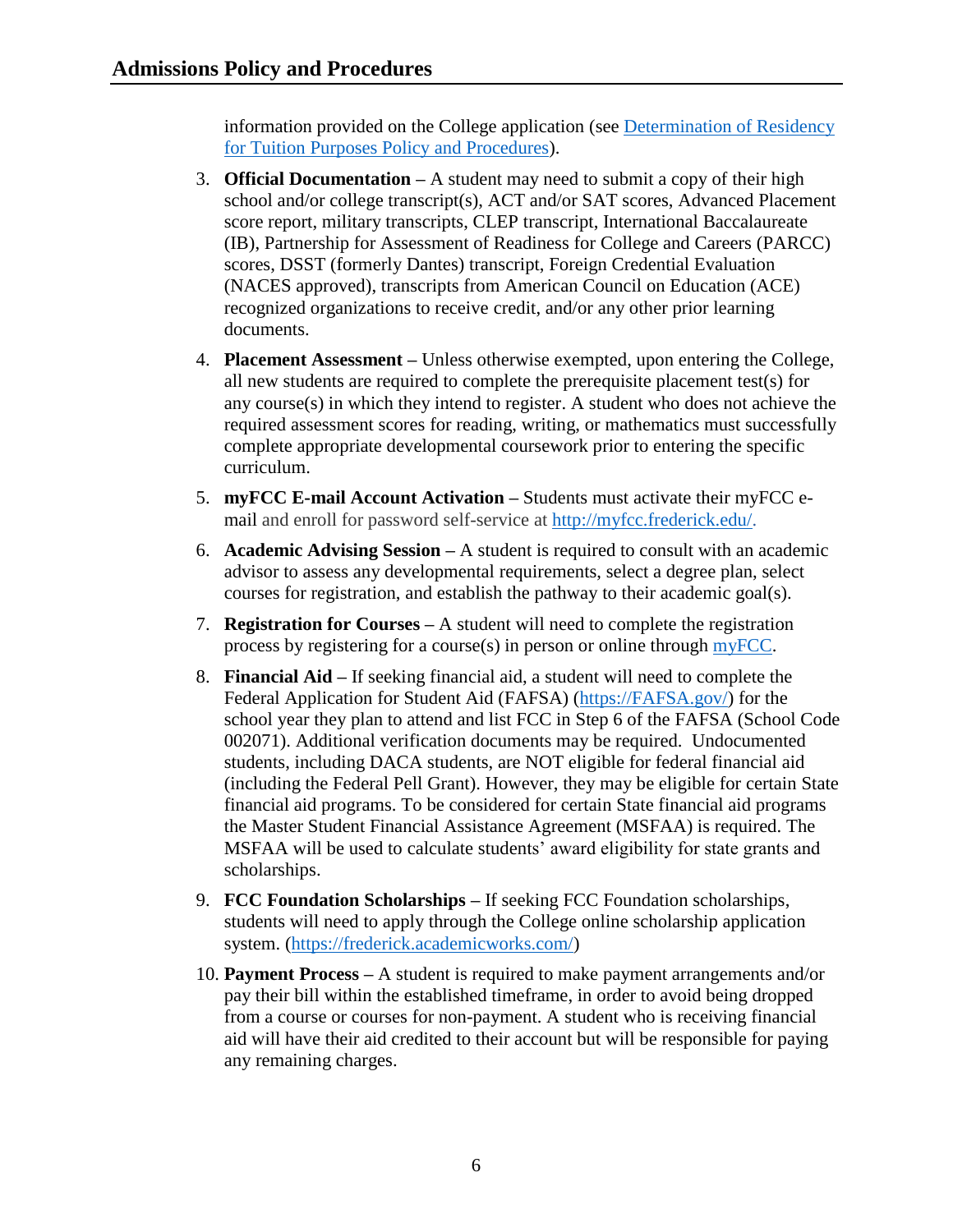information provided on the College application (see [Determination of Residency](https://www.frederick.edu/jobs-hr/policies-and-procedures/policyproceduredocuments/residency.aspx)  [for Tuition Purposes Policy and Procedures\)](https://www.frederick.edu/jobs-hr/policies-and-procedures/policyproceduredocuments/residency.aspx).

- 3. **Official Documentation –** A student may need to submit a copy of their high school and/or college transcript(s), ACT and/or SAT scores, Advanced Placement score report, military transcripts, CLEP transcript, International Baccalaureate (IB), Partnership for Assessment of Readiness for College and Careers (PARCC) scores, DSST (formerly Dantes) transcript, Foreign Credential Evaluation (NACES approved), transcripts from American Council on Education (ACE) recognized organizations to receive credit, and/or any other prior learning documents.
- 4. **Placement Assessment –** Unless otherwise exempted, upon entering the College, all new students are required to complete the prerequisite placement test(s) for any course(s) in which they intend to register. A student who does not achieve the required assessment scores for reading, writing, or mathematics must successfully complete appropriate developmental coursework prior to entering the specific curriculum.
- 5. **myFCC E-mail Account Activation –** Students must activate their myFCC email and enroll for password self-service at [http://myfcc.frederick.edu/.](http://myfcc.frederick.edu/)
- 6. **Academic Advising Session –** A student is required to consult with an academic advisor to assess any developmental requirements, select a degree plan, select courses for registration, and establish the pathway to their academic goal(s).
- 7. **Registration for Courses –** A student will need to complete the registration process by registering for a course(s) in person or online through [myFCC.](http://myfcc.frederick.edu/)
- 8. **Financial Aid –** If seeking financial aid, a student will need to complete the Federal Application for Student Aid (FAFSA) [\(https://FAFSA.gov/\)](https://fafsa.gov/) for the school year they plan to attend and list FCC in Step 6 of the FAFSA (School Code 002071). Additional verification documents may be required. Undocumented students, including DACA students, are NOT eligible for federal financial aid (including the Federal Pell Grant). However, they may be eligible for certain State financial aid programs. To be considered for certain State financial aid programs the Master Student Financial Assistance Agreement (MSFAA) is required. The MSFAA will be used to calculate students' award eligibility for state grants and scholarships.
- 9. **FCC Foundation Scholarships –** If seeking FCC Foundation scholarships, students will need to apply through the College online scholarship application system. [\(https://frederick.academicworks.com/\)](https://frederick.academicworks.com/)
- 10. **Payment Process –** A student is required to make payment arrangements and/or pay their bill within the established timeframe, in order to avoid being dropped from a course or courses for non-payment. A student who is receiving financial aid will have their aid credited to their account but will be responsible for paying any remaining charges.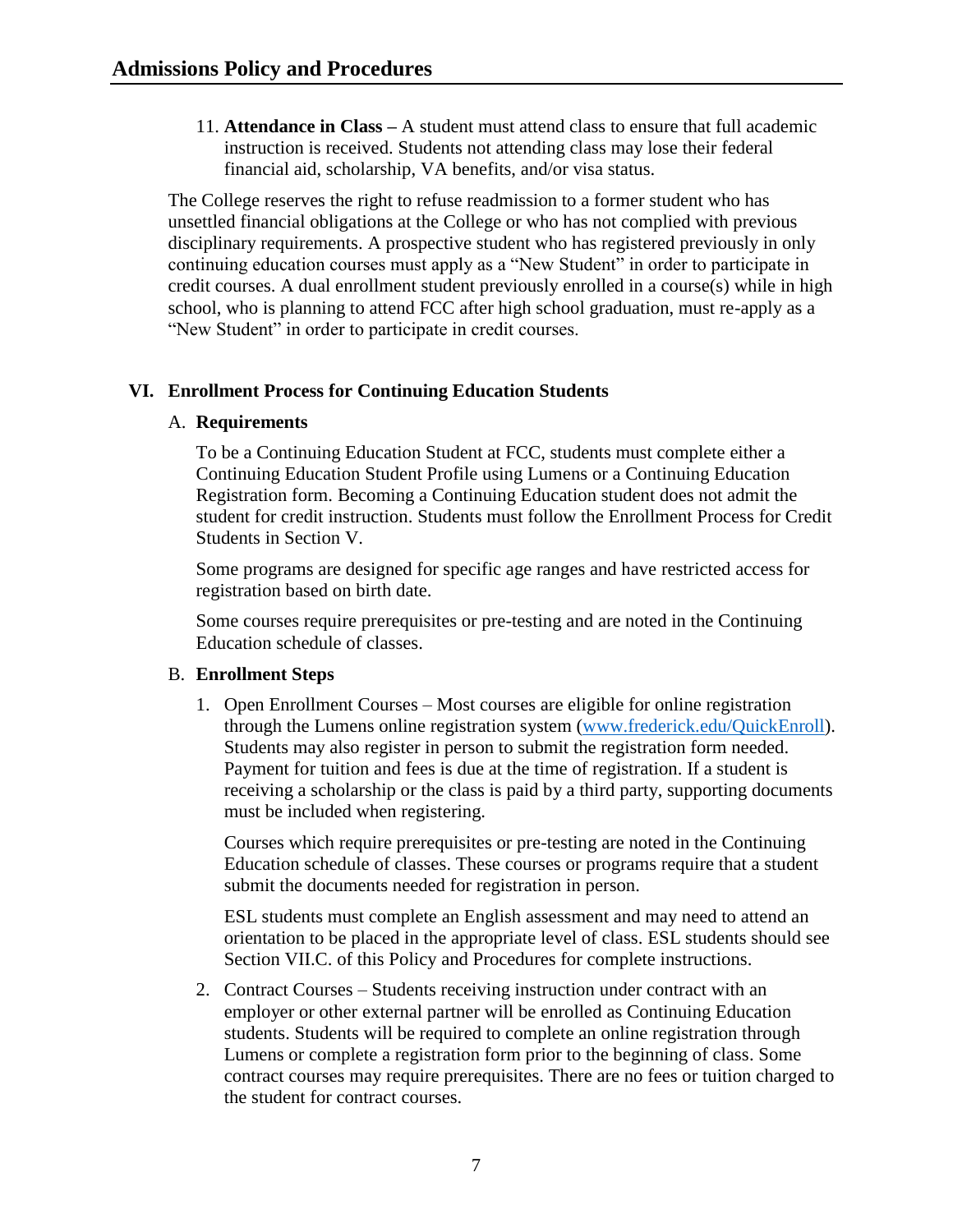11. **Attendance in Class –** A student must attend class to ensure that full academic instruction is received. Students not attending class may lose their federal financial aid, scholarship, VA benefits, and/or visa status.

The College reserves the right to refuse readmission to a former student who has unsettled financial obligations at the College or who has not complied with previous disciplinary requirements. A prospective student who has registered previously in only continuing education courses must apply as a "New Student" in order to participate in credit courses. A dual enrollment student previously enrolled in a course(s) while in high school, who is planning to attend FCC after high school graduation, must re-apply as a "New Student" in order to participate in credit courses.

#### <span id="page-7-0"></span>**VI. Enrollment Process for Continuing Education Students**

#### A. **Requirements**

To be a Continuing Education Student at FCC, students must complete either a Continuing Education Student Profile using Lumens or a Continuing Education Registration form. Becoming a Continuing Education student does not admit the student for credit instruction. Students must follow the Enrollment Process for Credit Students in Section V.

Some programs are designed for specific age ranges and have restricted access for registration based on birth date.

Some courses require prerequisites or pre-testing and are noted in the Continuing Education schedule of classes.

#### B. **Enrollment Steps**

1. Open Enrollment Courses – Most courses are eligible for online registration through the Lumens online registration system (www.frederick.edu/QuickEnroll). Students may also register in person to submit the registration form needed. Payment for tuition and fees is due at the time of registration. If a student is receiving a scholarship or the class is paid by a third party, supporting documents must be included when registering.

Courses which require prerequisites or pre-testing are noted in the Continuing Education schedule of classes. These courses or programs require that a student submit the documents needed for registration in person.

ESL students must complete an English assessment and may need to attend an orientation to be placed in the appropriate level of class. ESL students should see Section VII.C. of this Policy and Procedures for complete instructions.

2. Contract Courses – Students receiving instruction under contract with an employer or other external partner will be enrolled as Continuing Education students. Students will be required to complete an online registration through Lumens or complete a registration form prior to the beginning of class. Some contract courses may require prerequisites. There are no fees or tuition charged to the student for contract courses.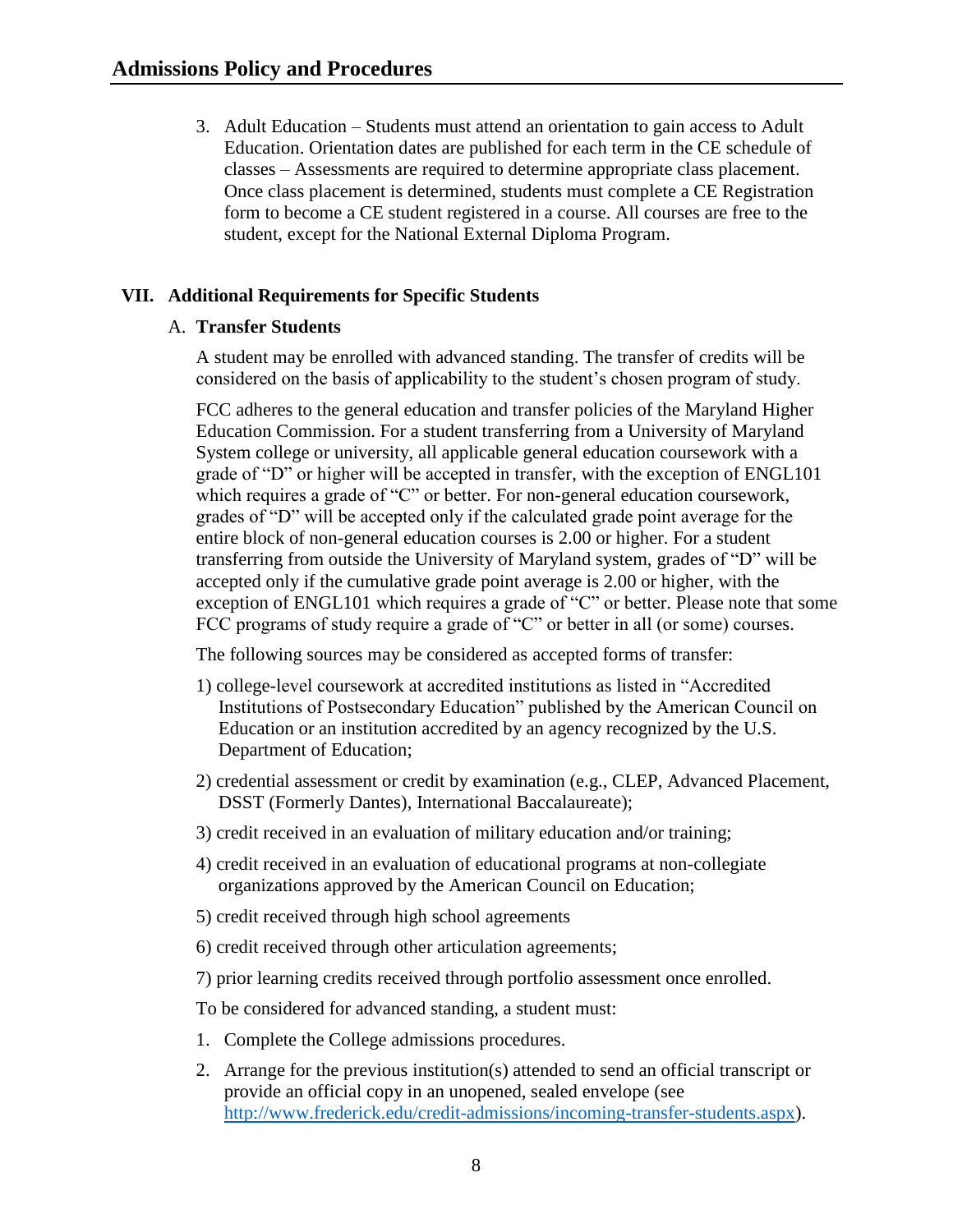3. Adult Education – Students must attend an orientation to gain access to Adult Education. Orientation dates are published for each term in the CE schedule of classes – Assessments are required to determine appropriate class placement. Once class placement is determined, students must complete a CE Registration form to become a CE student registered in a course. All courses are free to the student, except for the National External Diploma Program.

## <span id="page-8-1"></span><span id="page-8-0"></span>**VII. Additional Requirements for Specific Students**

#### A. **Transfer Students**

A student may be enrolled with advanced standing. The transfer of credits will be considered on the basis of applicability to the student's chosen program of study.

FCC adheres to the general education and transfer policies of the Maryland Higher Education Commission. For a student transferring from a University of Maryland System college or university, all applicable general education coursework with a grade of "D" or higher will be accepted in transfer, with the exception of ENGL101 which requires a grade of "C" or better. For non-general education coursework, grades of "D" will be accepted only if the calculated grade point average for the entire block of non-general education courses is 2.00 or higher. For a student transferring from outside the University of Maryland system, grades of "D" will be accepted only if the cumulative grade point average is 2.00 or higher, with the exception of ENGL101 which requires a grade of "C" or better. Please note that some FCC programs of study require a grade of "C" or better in all (or some) courses.

The following sources may be considered as accepted forms of transfer:

- 1) college-level coursework at accredited institutions as listed in "Accredited Institutions of Postsecondary Education" published by the American Council on Education or an institution accredited by an agency recognized by the U.S. Department of Education;
- 2) credential assessment or credit by examination (e.g., CLEP, Advanced Placement, DSST (Formerly Dantes), International Baccalaureate);
- 3) credit received in an evaluation of military education and/or training;
- 4) credit received in an evaluation of educational programs at non-collegiate organizations approved by the American Council on Education;
- 5) credit received through high school agreements
- 6) credit received through other articulation agreements;
- 7) prior learning credits received through portfolio assessment once enrolled.

To be considered for advanced standing, a student must:

- 1. Complete the College admissions procedures.
- 2. Arrange for the previous institution(s) attended to send an official transcript or provide an official copy in an unopened, sealed envelope (see [http://www.frederick.edu/credit-admissions/incoming-transfer-students.aspx\)](http://www.frederick.edu/credit-admissions/incoming-transfer-students.aspx).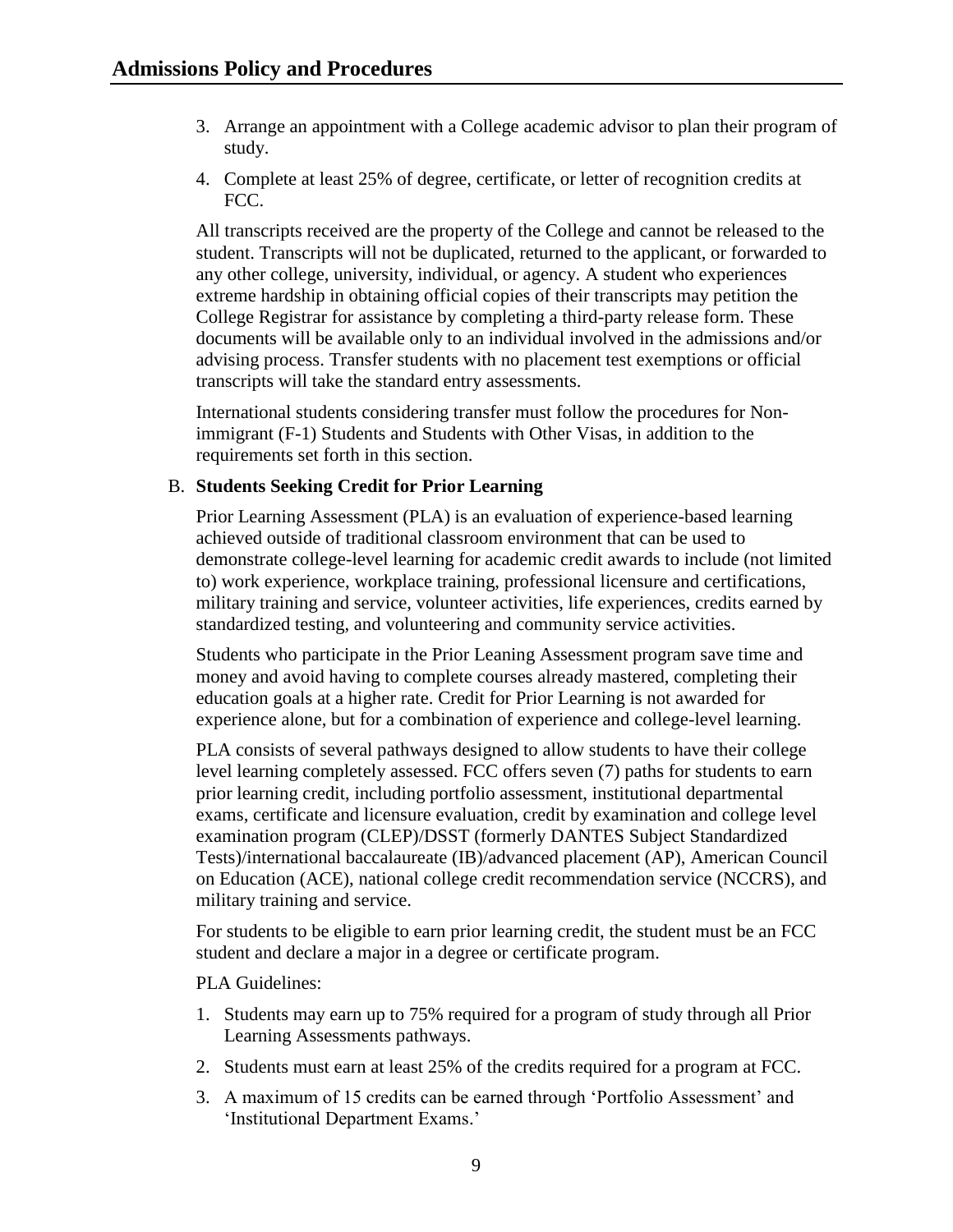- 3. Arrange an appointment with a College academic advisor to plan their program of study.
- 4. Complete at least 25% of degree, certificate, or letter of recognition credits at FCC.

All transcripts received are the property of the College and cannot be released to the student. Transcripts will not be duplicated, returned to the applicant, or forwarded to any other college, university, individual, or agency. A student who experiences extreme hardship in obtaining official copies of their transcripts may petition the College Registrar for assistance by completing a third-party release form. These documents will be available only to an individual involved in the admissions and/or advising process. Transfer students with no placement test exemptions or official transcripts will take the standard entry assessments.

International students considering transfer must follow the procedures for Nonimmigrant (F-1) Students and Students with Other Visas, in addition to the requirements set forth in this section.

#### <span id="page-9-0"></span>B. **Students Seeking Credit for Prior Learning**

Prior Learning Assessment (PLA) is an evaluation of experience-based learning achieved outside of traditional classroom environment that can be used to demonstrate college-level learning for academic credit awards to include (not limited to) work experience, workplace training, professional licensure and certifications, military training and service, volunteer activities, life experiences, credits earned by standardized testing, and volunteering and community service activities.

Students who participate in the Prior Leaning Assessment program save time and money and avoid having to complete courses already mastered, completing their education goals at a higher rate. Credit for Prior Learning is not awarded for experience alone, but for a combination of experience and college-level learning.

PLA consists of several pathways designed to allow students to have their college level learning completely assessed. FCC offers seven (7) paths for students to earn prior learning credit, including portfolio assessment, institutional departmental exams, certificate and licensure evaluation, credit by examination and college level examination program (CLEP)/DSST (formerly DANTES Subject Standardized Tests)/international baccalaureate (IB)/advanced placement (AP), American Council on Education (ACE), national college credit recommendation service (NCCRS), and military training and service.

For students to be eligible to earn prior learning credit, the student must be an FCC student and declare a major in a degree or certificate program.

#### PLA Guidelines:

- 1. Students may earn up to 75% required for a program of study through all Prior Learning Assessments pathways.
- 2. Students must earn at least 25% of the credits required for a program at FCC.
- 3. A maximum of 15 credits can be earned through 'Portfolio Assessment' and 'Institutional Department Exams.'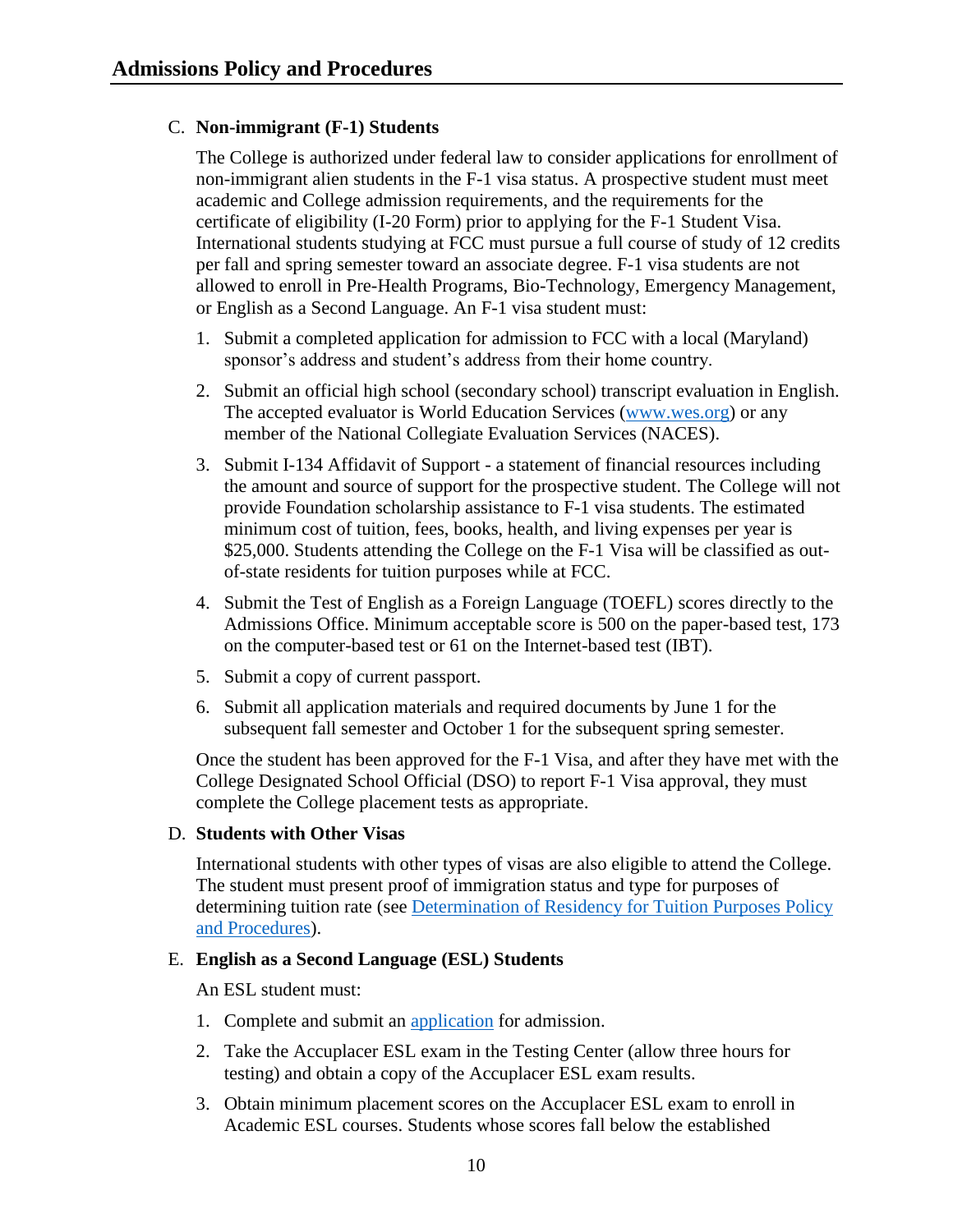## <span id="page-10-0"></span>C. **Non-immigrant (F-1) Students**

The College is authorized under federal law to consider applications for enrollment of non-immigrant alien students in the F-1 visa status. A prospective student must meet academic and College admission requirements, and the requirements for the certificate of eligibility (I-20 Form) prior to applying for the F-1 Student Visa. International students studying at FCC must pursue a full course of study of 12 credits per fall and spring semester toward an associate degree. F-1 visa students are not allowed to enroll in Pre-Health Programs, Bio-Technology, Emergency Management, or English as a Second Language. An F-1 visa student must:

- 1. Submit a completed application for admission to FCC with a local (Maryland) sponsor's address and student's address from their home country.
- 2. Submit an official high school (secondary school) transcript evaluation in English. The accepted evaluator is World Education Services [\(www.wes.org\)](http://www.wes.org/) or any member of the National Collegiate Evaluation Services (NACES).
- 3. Submit I-134 Affidavit of Support a statement of financial resources including the amount and source of support for the prospective student. The College will not provide Foundation scholarship assistance to F-1 visa students. The estimated minimum cost of tuition, fees, books, health, and living expenses per year is \$25,000. Students attending the College on the F-1 Visa will be classified as outof-state residents for tuition purposes while at FCC.
- 4. Submit the Test of English as a Foreign Language (TOEFL) scores directly to the Admissions Office. Minimum acceptable score is 500 on the paper-based test, 173 on the computer-based test or 61 on the Internet-based test (IBT).
- 5. Submit a copy of current passport.
- 6. Submit all application materials and required documents by June 1 for the subsequent fall semester and October 1 for the subsequent spring semester.

Once the student has been approved for the F-1 Visa, and after they have met with the College Designated School Official (DSO) to report F-1 Visa approval, they must complete the College placement tests as appropriate.

#### <span id="page-10-1"></span>D. **Students with Other Visas**

International students with other types of visas are also eligible to attend the College. The student must present proof of immigration status and type for purposes of determining tuition rate (see [Determination of Residency for Tuition Purposes Policy](https://www.frederick.edu/jobs-hr/policies-and-procedures/policyproceduredocuments/residency.aspx)  [and Procedures\)](https://www.frederick.edu/jobs-hr/policies-and-procedures/policyproceduredocuments/residency.aspx).

#### <span id="page-10-2"></span>E. **English as a Second Language (ESL) Students**

An ESL student must:

- 1. Complete and submit an [application](https://www.frederick.edu/admissions/credit-application.aspx) for admission.
- 2. Take the Accuplacer ESL exam in the Testing Center (allow three hours for testing) and obtain a copy of the Accuplacer ESL exam results.
- 3. Obtain minimum placement scores on the Accuplacer ESL exam to enroll in Academic ESL courses. Students whose scores fall below the established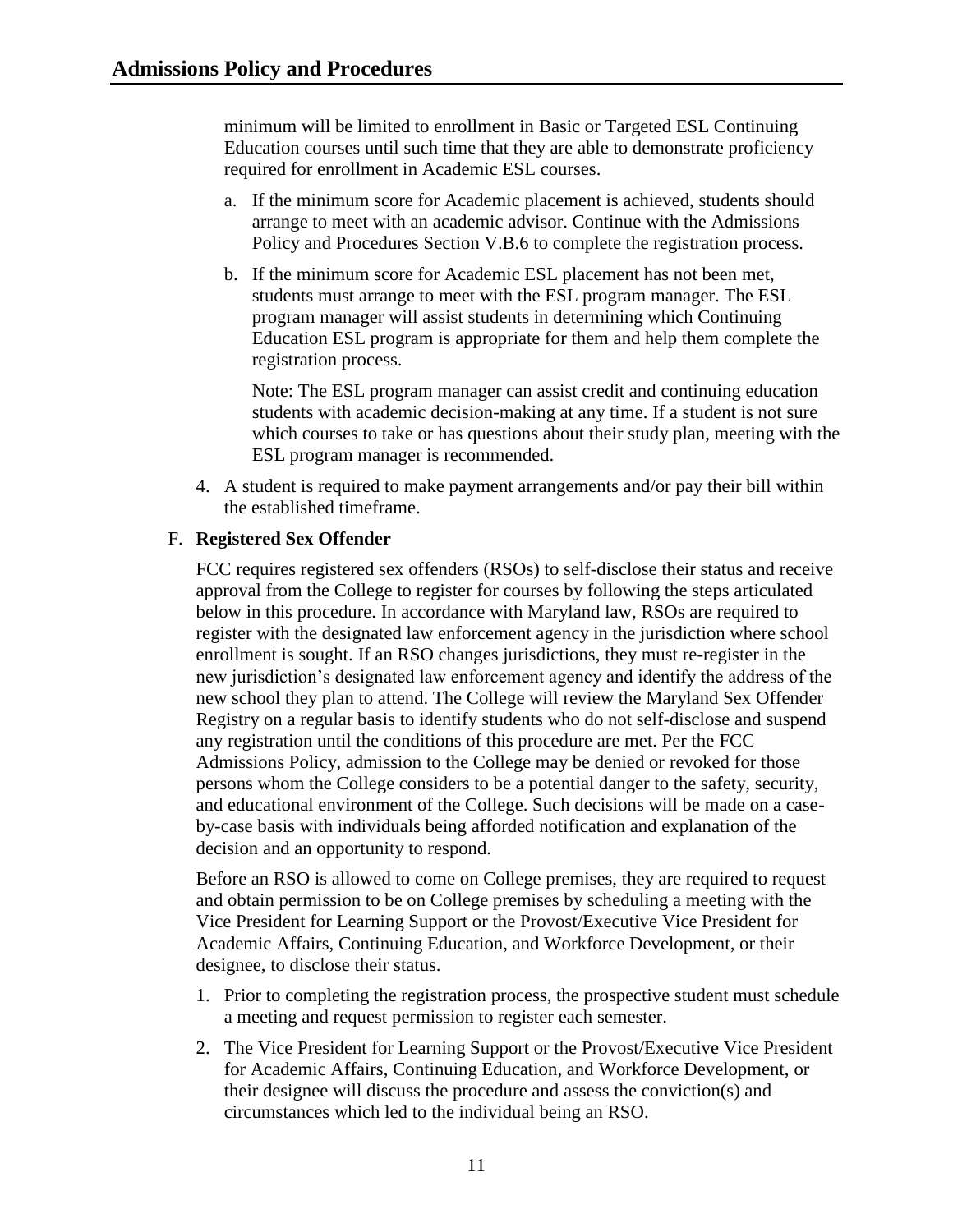minimum will be limited to enrollment in Basic or Targeted ESL Continuing Education courses until such time that they are able to demonstrate proficiency required for enrollment in Academic ESL courses.

- a. If the minimum score for Academic placement is achieved, students should arrange to meet with an academic advisor. Continue with the Admissions Policy and Procedures Section V.B.6 to complete the registration process.
- b. If the minimum score for Academic ESL placement has not been met, students must arrange to meet with the ESL program manager. The ESL program manager will assist students in determining which Continuing Education ESL program is appropriate for them and help them complete the registration process.

Note: The ESL program manager can assist credit and continuing education students with academic decision-making at any time. If a student is not sure which courses to take or has questions about their study plan, meeting with the ESL program manager is recommended.

4. A student is required to make payment arrangements and/or pay their bill within the established timeframe.

## <span id="page-11-0"></span>F. **Registered Sex Offender**

FCC requires registered sex offenders (RSOs) to self-disclose their status and receive approval from the College to register for courses by following the steps articulated below in this procedure. In accordance with Maryland law, RSOs are required to register with the designated law enforcement agency in the jurisdiction where school enrollment is sought. If an RSO changes jurisdictions, they must re-register in the new jurisdiction's designated law enforcement agency and identify the address of the new school they plan to attend. The College will review the Maryland Sex Offender Registry on a regular basis to identify students who do not self-disclose and suspend any registration until the conditions of this procedure are met. Per the FCC Admissions Policy, admission to the College may be denied or revoked for those persons whom the College considers to be a potential danger to the safety, security, and educational environment of the College. Such decisions will be made on a caseby-case basis with individuals being afforded notification and explanation of the decision and an opportunity to respond.

Before an RSO is allowed to come on College premises, they are required to request and obtain permission to be on College premises by scheduling a meeting with the Vice President for Learning Support or the Provost/Executive Vice President for Academic Affairs, Continuing Education, and Workforce Development, or their designee, to disclose their status.

- 1. Prior to completing the registration process, the prospective student must schedule a meeting and request permission to register each semester.
- 2. The Vice President for Learning Support or the Provost/Executive Vice President for Academic Affairs, Continuing Education, and Workforce Development, or their designee will discuss the procedure and assess the conviction(s) and circumstances which led to the individual being an RSO.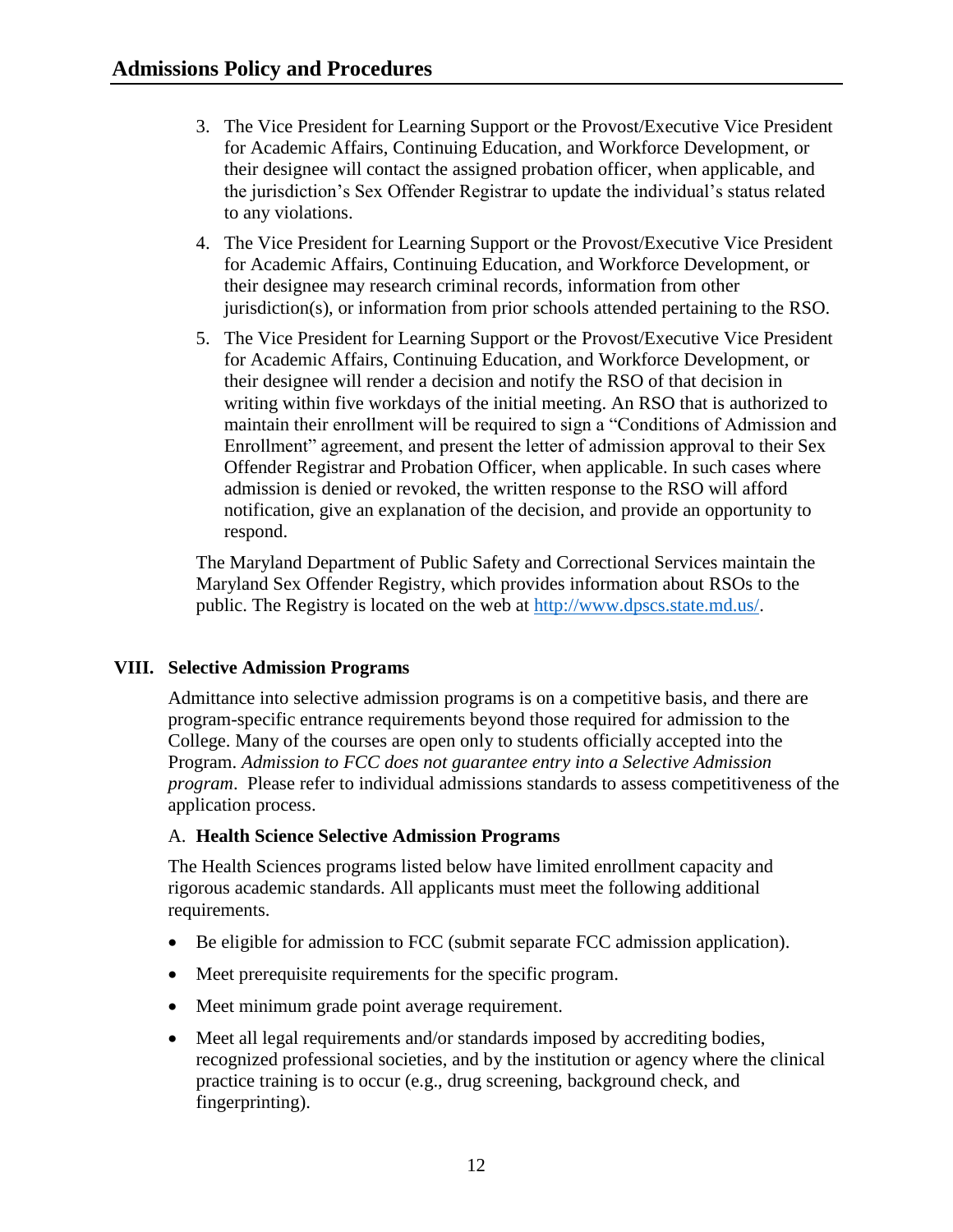- 3. The Vice President for Learning Support or the Provost/Executive Vice President for Academic Affairs, Continuing Education, and Workforce Development, or their designee will contact the assigned probation officer, when applicable, and the jurisdiction's Sex Offender Registrar to update the individual's status related to any violations.
- 4. The Vice President for Learning Support or the Provost/Executive Vice President for Academic Affairs, Continuing Education, and Workforce Development, or their designee may research criminal records, information from other jurisdiction(s), or information from prior schools attended pertaining to the RSO.
- 5. The Vice President for Learning Support or the Provost/Executive Vice President for Academic Affairs, Continuing Education, and Workforce Development, or their designee will render a decision and notify the RSO of that decision in writing within five workdays of the initial meeting. An RSO that is authorized to maintain their enrollment will be required to sign a "Conditions of Admission and Enrollment" agreement, and present the letter of admission approval to their Sex Offender Registrar and Probation Officer, when applicable. In such cases where admission is denied or revoked, the written response to the RSO will afford notification, give an explanation of the decision, and provide an opportunity to respond.

The Maryland Department of Public Safety and Correctional Services maintain the Maryland Sex Offender Registry, which provides information about RSOs to the public. The Registry is located on the web at [http://www.dpscs.state.md.us/.](http://www.dpscs.state.md.us/)

## <span id="page-12-0"></span>**VIII. Selective Admission Programs**

Admittance into selective admission programs is on a competitive basis, and there are program-specific entrance requirements beyond those required for admission to the College. Many of the courses are open only to students officially accepted into the Program. *Admission to FCC does not guarantee entry into a Selective Admission program*. Please refer to individual admissions standards to assess competitiveness of the application process.

#### <span id="page-12-1"></span>A. **Health Science Selective Admission Programs**

The Health Sciences programs listed below have limited enrollment capacity and rigorous academic standards. All applicants must meet the following additional requirements.

- Be eligible for admission to FCC (submit separate FCC admission application).
- Meet prerequisite requirements for the specific program.
- Meet minimum grade point average requirement.
- Meet all legal requirements and/or standards imposed by accrediting bodies, recognized professional societies, and by the institution or agency where the clinical practice training is to occur (e.g., drug screening, background check, and fingerprinting).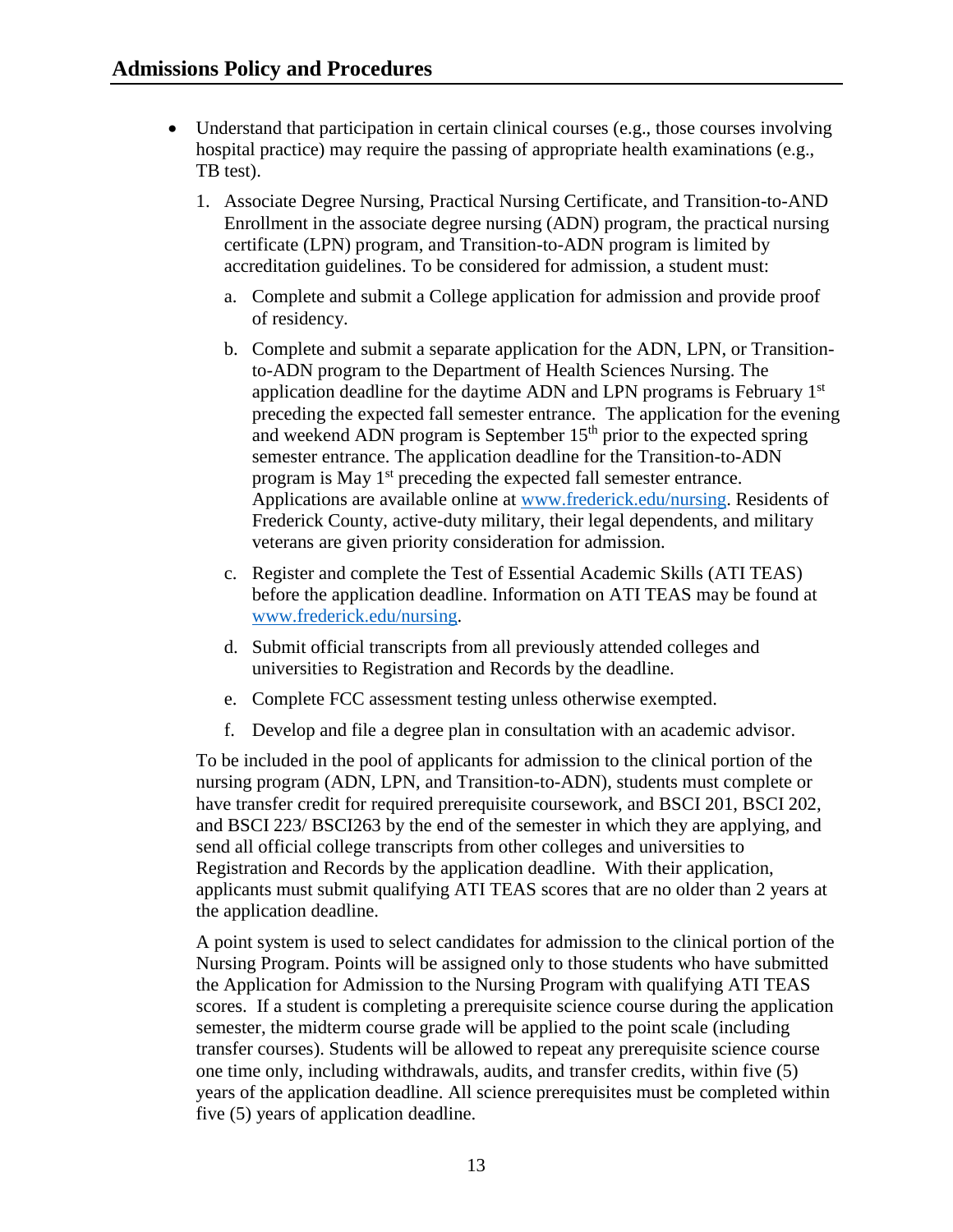- <span id="page-13-0"></span> Understand that participation in certain clinical courses (e.g., those courses involving hospital practice) may require the passing of appropriate health examinations (e.g., TB test).
	- 1. Associate Degree Nursing, Practical Nursing Certificate, and Transition-to-AND Enrollment in the associate degree nursing (ADN) program, the practical nursing certificate (LPN) program, and Transition-to-ADN program is limited by accreditation guidelines. To be considered for admission, a student must:
		- a. Complete and submit a College application for admission and provide proof of residency.
		- b. Complete and submit a separate application for the ADN, LPN, or Transitionto-ADN program to the Department of Health Sciences Nursing. The application deadline for the daytime ADN and LPN programs is February 1st preceding the expected fall semester entrance. The application for the evening and weekend ADN program is September  $15<sup>th</sup>$  prior to the expected spring semester entrance. The application deadline for the Transition-to-ADN program is May  $1<sup>st</sup>$  preceding the expected fall semester entrance. Applications are available online at [www.frederick.edu/nursing.](http://www.frederick.edu/nursing) Residents of Frederick County, active-duty military, their legal dependents, and military veterans are given priority consideration for admission.
		- c. Register and complete the Test of Essential Academic Skills (ATI TEAS) before the application deadline. Information on ATI TEAS may be found at [www.frederick.edu/nursing.](http://www.frederick.edu/nursing)
		- d. Submit official transcripts from all previously attended colleges and universities to Registration and Records by the deadline.
		- e. Complete FCC assessment testing unless otherwise exempted.
		- f. Develop and file a degree plan in consultation with an academic advisor.

To be included in the pool of applicants for admission to the clinical portion of the nursing program (ADN, LPN, and Transition-to-ADN), students must complete or have transfer credit for required prerequisite coursework, and BSCI 201, BSCI 202, and BSCI 223/ BSCI263 by the end of the semester in which they are applying, and send all official college transcripts from other colleges and universities to Registration and Records by the application deadline. With their application, applicants must submit qualifying ATI TEAS scores that are no older than 2 years at the application deadline.

A point system is used to select candidates for admission to the clinical portion of the Nursing Program. Points will be assigned only to those students who have submitted the Application for Admission to the Nursing Program with qualifying ATI TEAS scores. If a student is completing a prerequisite science course during the application semester, the midterm course grade will be applied to the point scale (including transfer courses). Students will be allowed to repeat any prerequisite science course one time only, including withdrawals, audits, and transfer credits, within five (5) years of the application deadline. All science prerequisites must be completed within five (5) years of application deadline.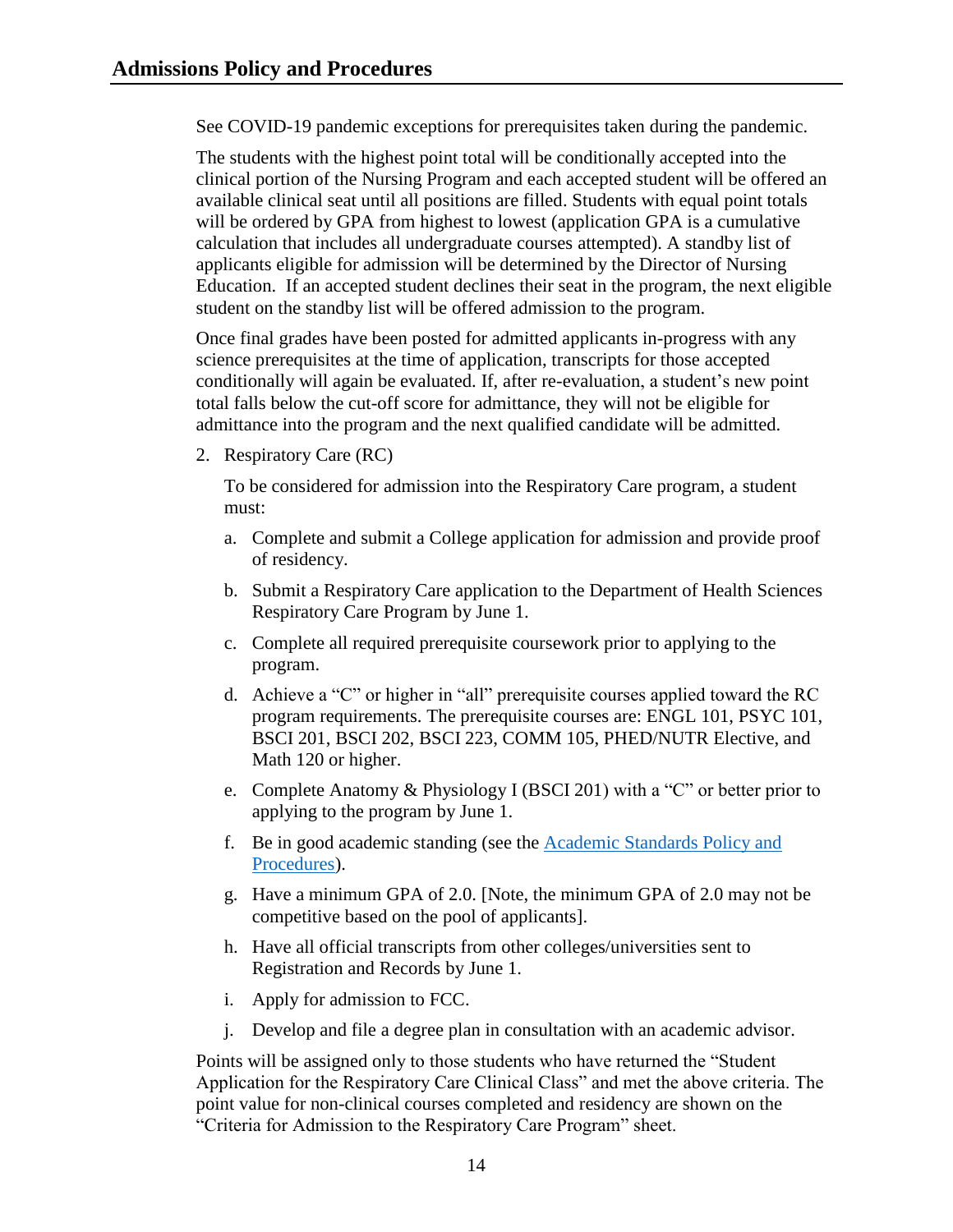See COVID-19 pandemic exceptions for prerequisites taken during the pandemic.

The students with the highest point total will be conditionally accepted into the clinical portion of the Nursing Program and each accepted student will be offered an available clinical seat until all positions are filled. Students with equal point totals will be ordered by GPA from highest to lowest (application GPA is a cumulative calculation that includes all undergraduate courses attempted). A standby list of applicants eligible for admission will be determined by the Director of Nursing Education. If an accepted student declines their seat in the program, the next eligible student on the standby list will be offered admission to the program.

Once final grades have been posted for admitted applicants in-progress with any science prerequisites at the time of application, transcripts for those accepted conditionally will again be evaluated. If, after re-evaluation, a student's new point total falls below the cut-off score for admittance, they will not be eligible for admittance into the program and the next qualified candidate will be admitted.

<span id="page-14-0"></span>2. Respiratory Care (RC)

To be considered for admission into the Respiratory Care program, a student must:

- a. Complete and submit a College application for admission and provide proof of residency.
- b. Submit a Respiratory Care application to the Department of Health Sciences Respiratory Care Program by June 1.
- c. Complete all required prerequisite coursework prior to applying to the program.
- d. Achieve a "C" or higher in "all" prerequisite courses applied toward the RC program requirements. The prerequisite courses are: ENGL 101, PSYC 101, BSCI 201, BSCI 202, BSCI 223, COMM 105, PHED/NUTR Elective, and Math 120 or higher.
- e. Complete Anatomy & Physiology I (BSCI 201) with a "C" or better prior to applying to the program by June 1.
- f. Be in good academic standing (see the [Academic Standards Policy and](https://www.frederick.edu/jobs-hr/policies-and-procedures/policyproceduredocuments/academic-standards.aspx)  [Procedures\)](https://www.frederick.edu/jobs-hr/policies-and-procedures/policyproceduredocuments/academic-standards.aspx).
- g. Have a minimum GPA of 2.0. [Note, the minimum GPA of 2.0 may not be competitive based on the pool of applicants].
- h. Have all official transcripts from other colleges/universities sent to Registration and Records by June 1.
- i. Apply for admission to FCC.
- j. Develop and file a degree plan in consultation with an academic advisor.

Points will be assigned only to those students who have returned the "Student Application for the Respiratory Care Clinical Class" and met the above criteria. The point value for non-clinical courses completed and residency are shown on the "Criteria for Admission to the Respiratory Care Program" sheet.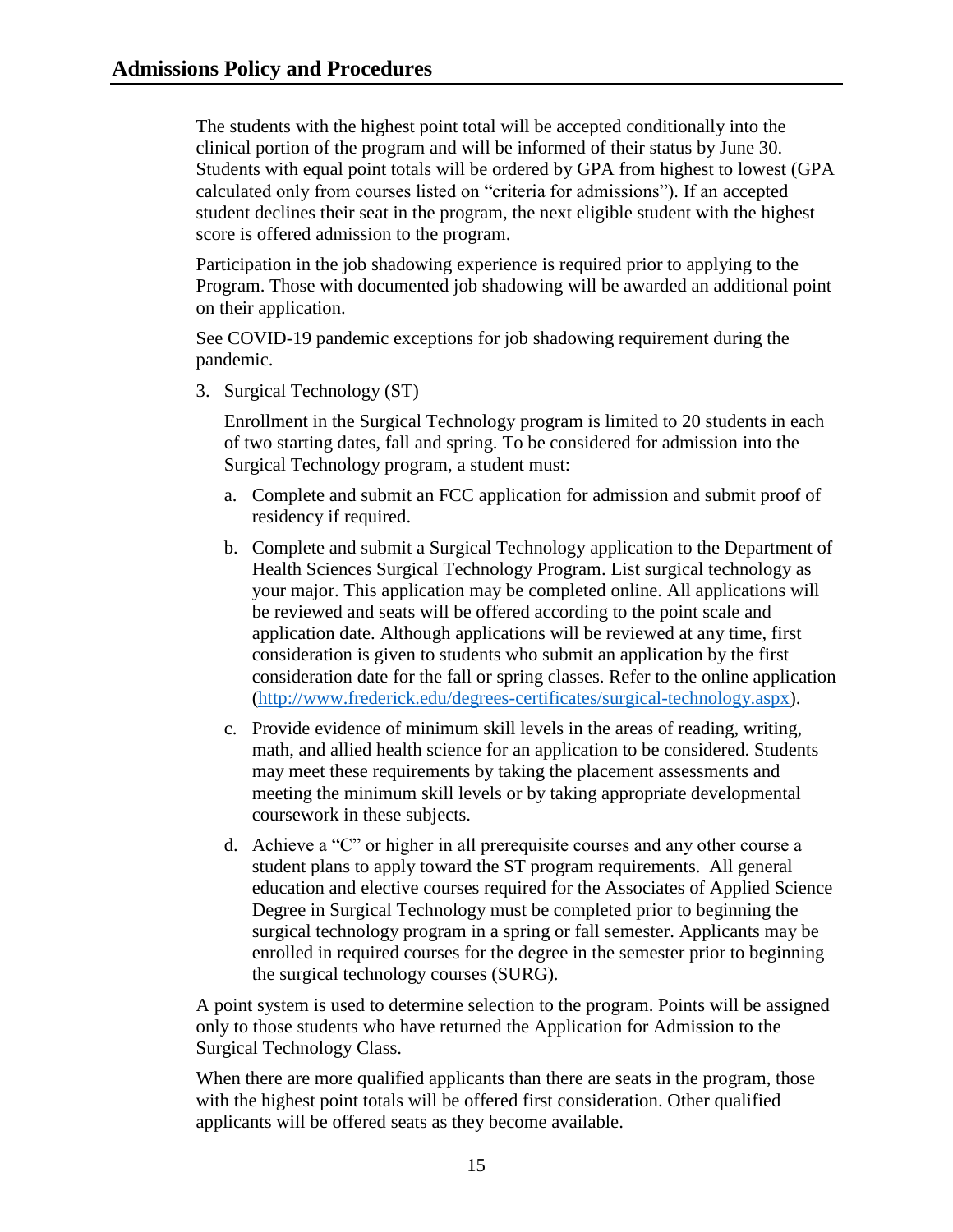The students with the highest point total will be accepted conditionally into the clinical portion of the program and will be informed of their status by June 30. Students with equal point totals will be ordered by GPA from highest to lowest (GPA calculated only from courses listed on "criteria for admissions"). If an accepted student declines their seat in the program, the next eligible student with the highest score is offered admission to the program.

Participation in the job shadowing experience is required prior to applying to the Program. Those with documented job shadowing will be awarded an additional point on their application.

See COVID-19 pandemic exceptions for job shadowing requirement during the pandemic.

<span id="page-15-0"></span>3. Surgical Technology (ST)

Enrollment in the Surgical Technology program is limited to 20 students in each of two starting dates, fall and spring. To be considered for admission into the Surgical Technology program, a student must:

- a. Complete and submit an FCC application for admission and submit proof of residency if required.
- b. Complete and submit a Surgical Technology application to the Department of Health Sciences Surgical Technology Program. List surgical technology as your major. This application may be completed online. All applications will be reviewed and seats will be offered according to the point scale and application date. Although applications will be reviewed at any time, first consideration is given to students who submit an application by the first consideration date for the fall or spring classes. Refer to the online application [\(http://www.frederick.edu/degrees-certificates/surgical-technology.aspx\)](http://www.frederick.edu/degrees-certificates/surgical-technology.aspx).
- c. Provide evidence of minimum skill levels in the areas of reading, writing, math, and allied health science for an application to be considered. Students may meet these requirements by taking the placement assessments and meeting the minimum skill levels or by taking appropriate developmental coursework in these subjects.
- d. Achieve a "C" or higher in all prerequisite courses and any other course a student plans to apply toward the ST program requirements. All general education and elective courses required for the Associates of Applied Science Degree in Surgical Technology must be completed prior to beginning the surgical technology program in a spring or fall semester. Applicants may be enrolled in required courses for the degree in the semester prior to beginning the surgical technology courses (SURG).

A point system is used to determine selection to the program. Points will be assigned only to those students who have returned the Application for Admission to the Surgical Technology Class.

When there are more qualified applicants than there are seats in the program, those with the highest point totals will be offered first consideration. Other qualified applicants will be offered seats as they become available.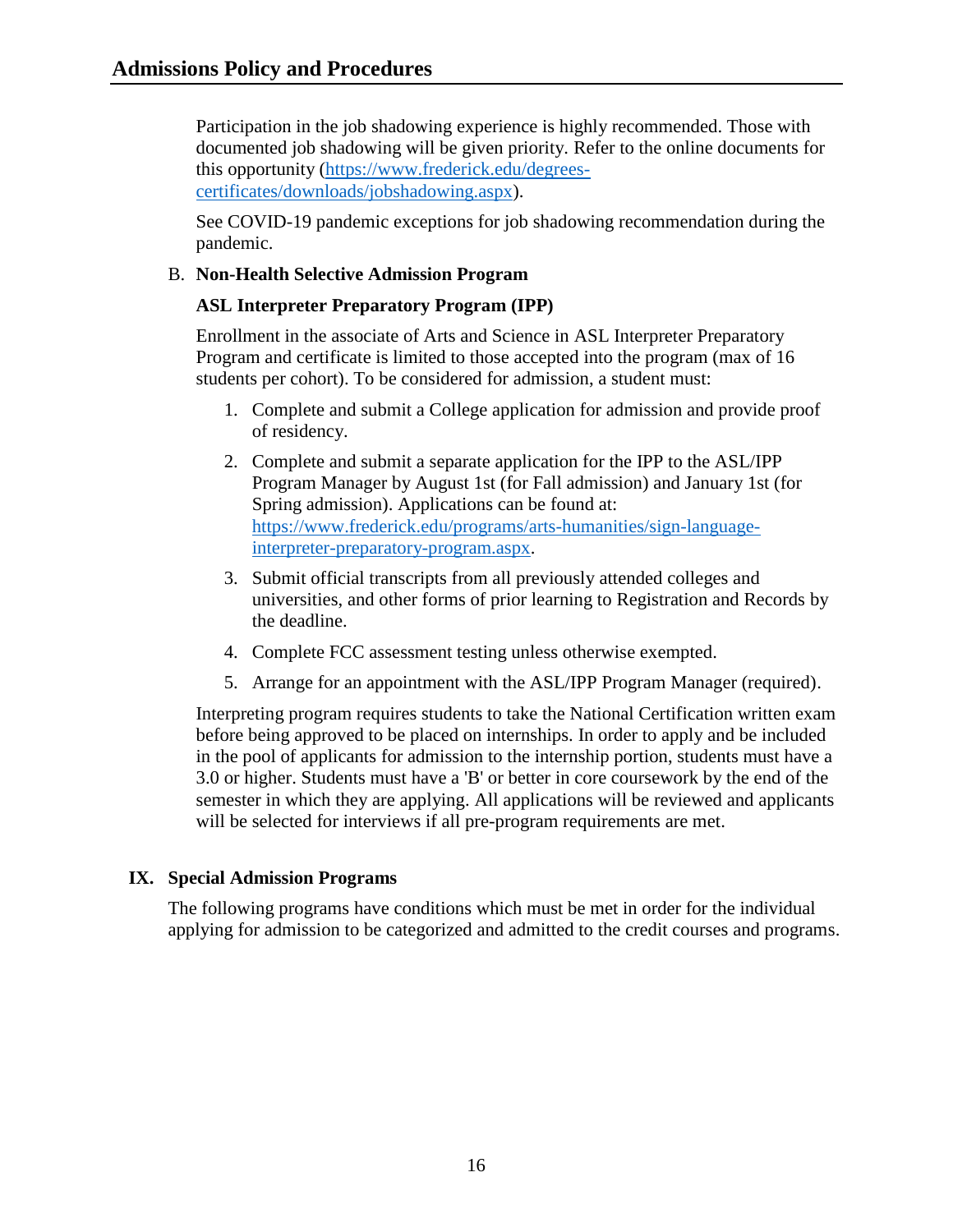Participation in the job shadowing experience is highly recommended. Those with documented job shadowing will be given priority. Refer to the online documents for this opportunity [\(https://www.frederick.edu/degrees](https://www.frederick.edu/degrees-certificates/downloads/jobshadowing.aspx)[certificates/downloads/jobshadowing.aspx\)](https://www.frederick.edu/degrees-certificates/downloads/jobshadowing.aspx).

See COVID-19 pandemic exceptions for job shadowing recommendation during the pandemic.

## <span id="page-16-0"></span>B. **Non-Health Selective Admission Program**

#### **ASL Interpreter Preparatory Program (IPP)**

Enrollment in the associate of Arts and Science in ASL Interpreter Preparatory Program and certificate is limited to those accepted into the program (max of 16 students per cohort). To be considered for admission, a student must:

- 1. Complete and submit a College application for admission and provide proof of residency.
- 2. Complete and submit a separate application for the IPP to the ASL/IPP Program Manager by August 1st (for Fall admission) and January 1st (for Spring admission). Applications can be found at: [https://www.frederick.edu/programs/arts-humanities/sign-language](https://www.frederick.edu/programs/arts-humanities/sign-language-interpreter-preparatory-program.aspx)[interpreter-preparatory-program.aspx.](https://www.frederick.edu/programs/arts-humanities/sign-language-interpreter-preparatory-program.aspx)
- 3. Submit official transcripts from all previously attended colleges and universities, and other forms of prior learning to Registration and Records by the deadline.
- 4. Complete FCC assessment testing unless otherwise exempted.
- 5. Arrange for an appointment with the ASL/IPP Program Manager (required).

Interpreting program requires students to take the National Certification written exam before being approved to be placed on internships. In order to apply and be included in the pool of applicants for admission to the internship portion, students must have a 3.0 or higher. Students must have a 'B' or better in core coursework by the end of the semester in which they are applying. All applications will be reviewed and applicants will be selected for interviews if all pre-program requirements are met.

#### <span id="page-16-1"></span>**IX. Special Admission Programs**

The following programs have conditions which must be met in order for the individual applying for admission to be categorized and admitted to the credit courses and programs.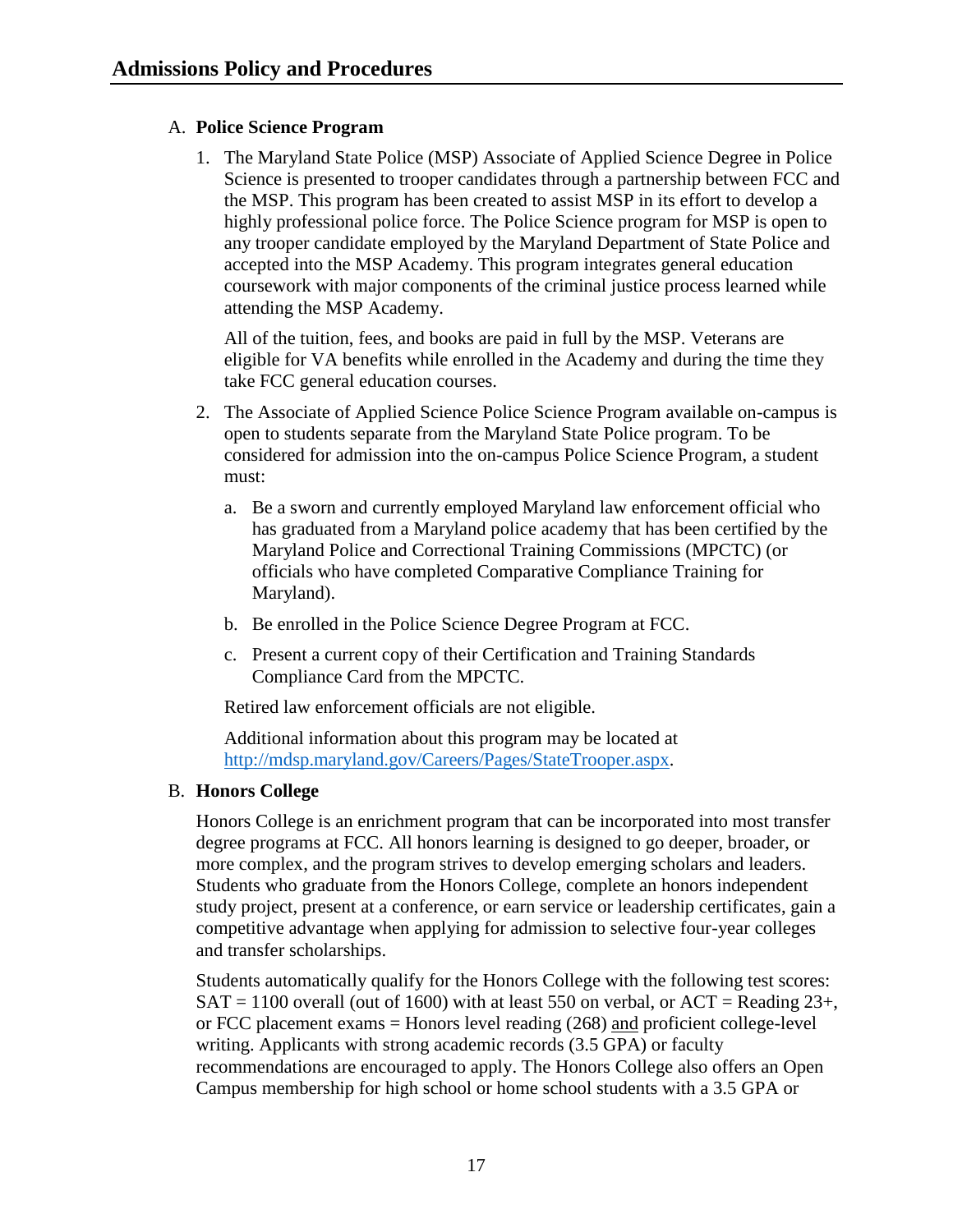## <span id="page-17-0"></span>A. **Police Science Program**

1. The Maryland State Police (MSP) Associate of Applied Science Degree in Police Science is presented to trooper candidates through a partnership between FCC and the MSP. This program has been created to assist MSP in its effort to develop a highly professional police force. The Police Science program for MSP is open to any trooper candidate employed by the Maryland Department of State Police and accepted into the MSP Academy. This program integrates general education coursework with major components of the criminal justice process learned while attending the MSP Academy.

All of the tuition, fees, and books are paid in full by the MSP. Veterans are eligible for VA benefits while enrolled in the Academy and during the time they take FCC general education courses.

- 2. The Associate of Applied Science Police Science Program available on-campus is open to students separate from the Maryland State Police program. To be considered for admission into the on-campus Police Science Program, a student must:
	- a. Be a sworn and currently employed Maryland law enforcement official who has graduated from a Maryland police academy that has been certified by the Maryland Police and Correctional Training Commissions (MPCTC) (or officials who have completed Comparative Compliance Training for Maryland).
	- b. Be enrolled in the Police Science Degree Program at FCC.
	- c. Present a current copy of their Certification and Training Standards Compliance Card from the MPCTC.

Retired law enforcement officials are not eligible.

Additional information about this program may be located at [http://mdsp.maryland.gov/Careers/Pages/StateTrooper.aspx.](http://mdsp.maryland.gov/Careers/Pages/StateTrooper.aspx)

#### <span id="page-17-1"></span>B. **Honors College**

Honors College is an enrichment program that can be incorporated into most transfer degree programs at FCC. All honors learning is designed to go deeper, broader, or more complex, and the program strives to develop emerging scholars and leaders. Students who graduate from the Honors College, complete an honors independent study project, present at a conference, or earn service or leadership certificates, gain a competitive advantage when applying for admission to selective four-year colleges and transfer scholarships.

Students automatically qualify for the Honors College with the following test scores:  $SAT = 1100$  overall (out of 1600) with at least 550 on verbal, or  $ACT = Reading 23+,$ or FCC placement exams  $=$  Honors level reading  $(268)$  and proficient college-level writing. Applicants with strong academic records (3.5 GPA) or faculty recommendations are encouraged to apply. The Honors College also offers an Open Campus membership for high school or home school students with a 3.5 GPA or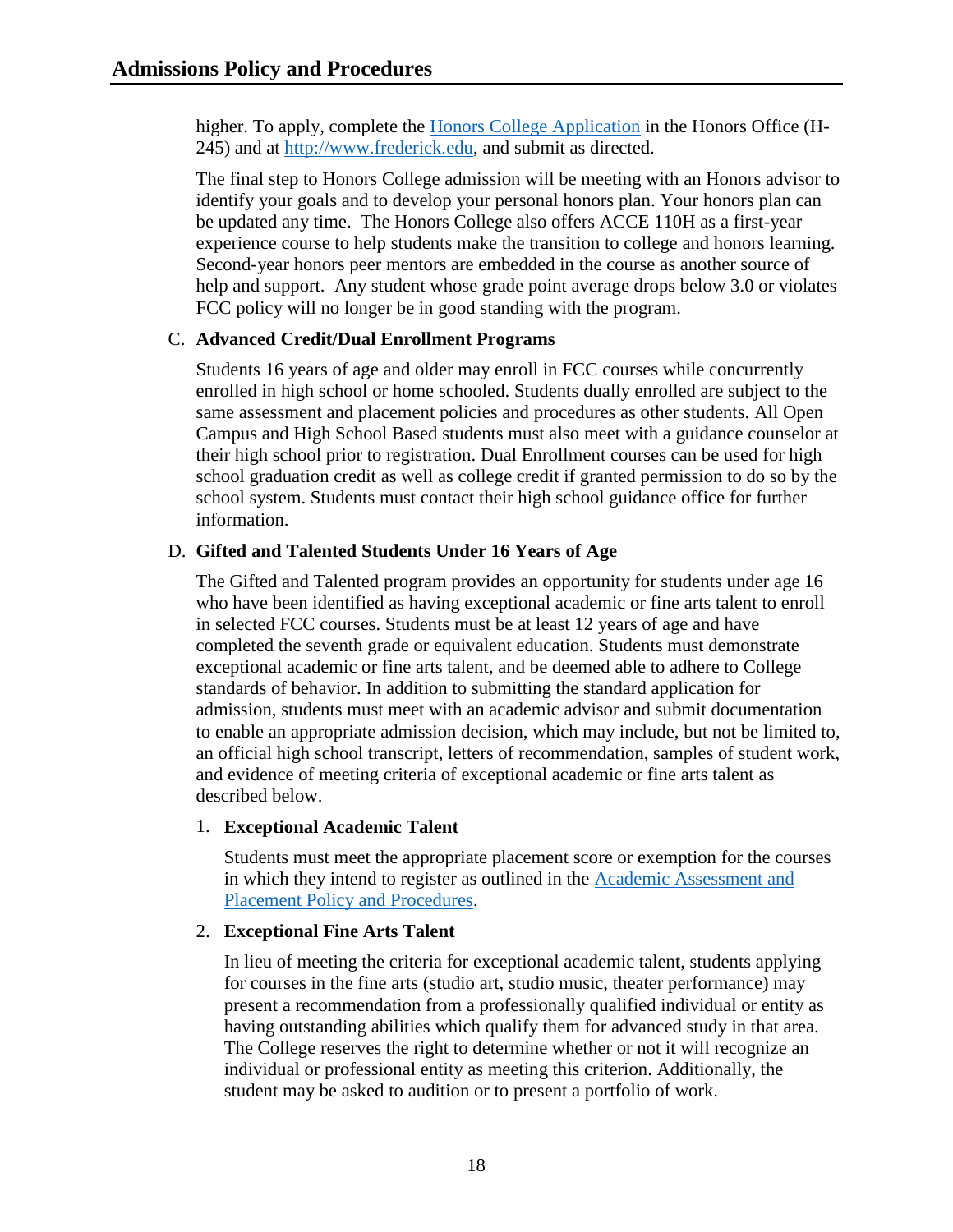higher. To apply, complete the [Honors College Application](https://www.frederick.edu/degrees-certificates/program-application-forms/honors-college-application.aspx) in the Honors Office (H-245) and at [http://www.frederick.edu,](http://www.frederick.edu/degrees-certificates/honors-college.aspx) and submit as directed.

The final step to Honors College admission will be meeting with an Honors advisor to identify your goals and to develop your personal honors plan. Your honors plan can be updated any time. The Honors College also offers ACCE 110H as a first-year experience course to help students make the transition to college and honors learning. Second-year honors peer mentors are embedded in the course as another source of help and support. Any student whose grade point average drops below 3.0 or violates FCC policy will no longer be in good standing with the program.

#### <span id="page-18-0"></span>C. **Advanced Credit/Dual Enrollment Programs**

Students 16 years of age and older may enroll in FCC courses while concurrently enrolled in high school or home schooled. Students dually enrolled are subject to the same assessment and placement policies and procedures as other students. All Open Campus and High School Based students must also meet with a guidance counselor at their high school prior to registration. Dual Enrollment courses can be used for high school graduation credit as well as college credit if granted permission to do so by the school system. Students must contact their high school guidance office for further information.

#### <span id="page-18-1"></span>D. **Gifted and Talented Students Under 16 Years of Age**

The Gifted and Talented program provides an opportunity for students under age 16 who have been identified as having exceptional academic or fine arts talent to enroll in selected FCC courses. Students must be at least 12 years of age and have completed the seventh grade or equivalent education. Students must demonstrate exceptional academic or fine arts talent, and be deemed able to adhere to College standards of behavior. In addition to submitting the standard application for admission, students must meet with an academic advisor and submit documentation to enable an appropriate admission decision, which may include, but not be limited to, an official high school transcript, letters of recommendation, samples of student work, and evidence of meeting criteria of exceptional academic or fine arts talent as described below.

#### 1. **Exceptional Academic Talent**

Students must meet the appropriate placement score or exemption for the courses in which they intend to register as outlined in the [Academic Assessment and](https://www.frederick.edu/jobs-hr/policies-and-procedures/policyproceduredocuments/academic-assessment.aspx)  [Placement Policy and Procedures.](https://www.frederick.edu/jobs-hr/policies-and-procedures/policyproceduredocuments/academic-assessment.aspx)

## 2. **Exceptional Fine Arts Talent**

In lieu of meeting the criteria for exceptional academic talent, students applying for courses in the fine arts (studio art, studio music, theater performance) may present a recommendation from a professionally qualified individual or entity as having outstanding abilities which qualify them for advanced study in that area. The College reserves the right to determine whether or not it will recognize an individual or professional entity as meeting this criterion. Additionally, the student may be asked to audition or to present a portfolio of work.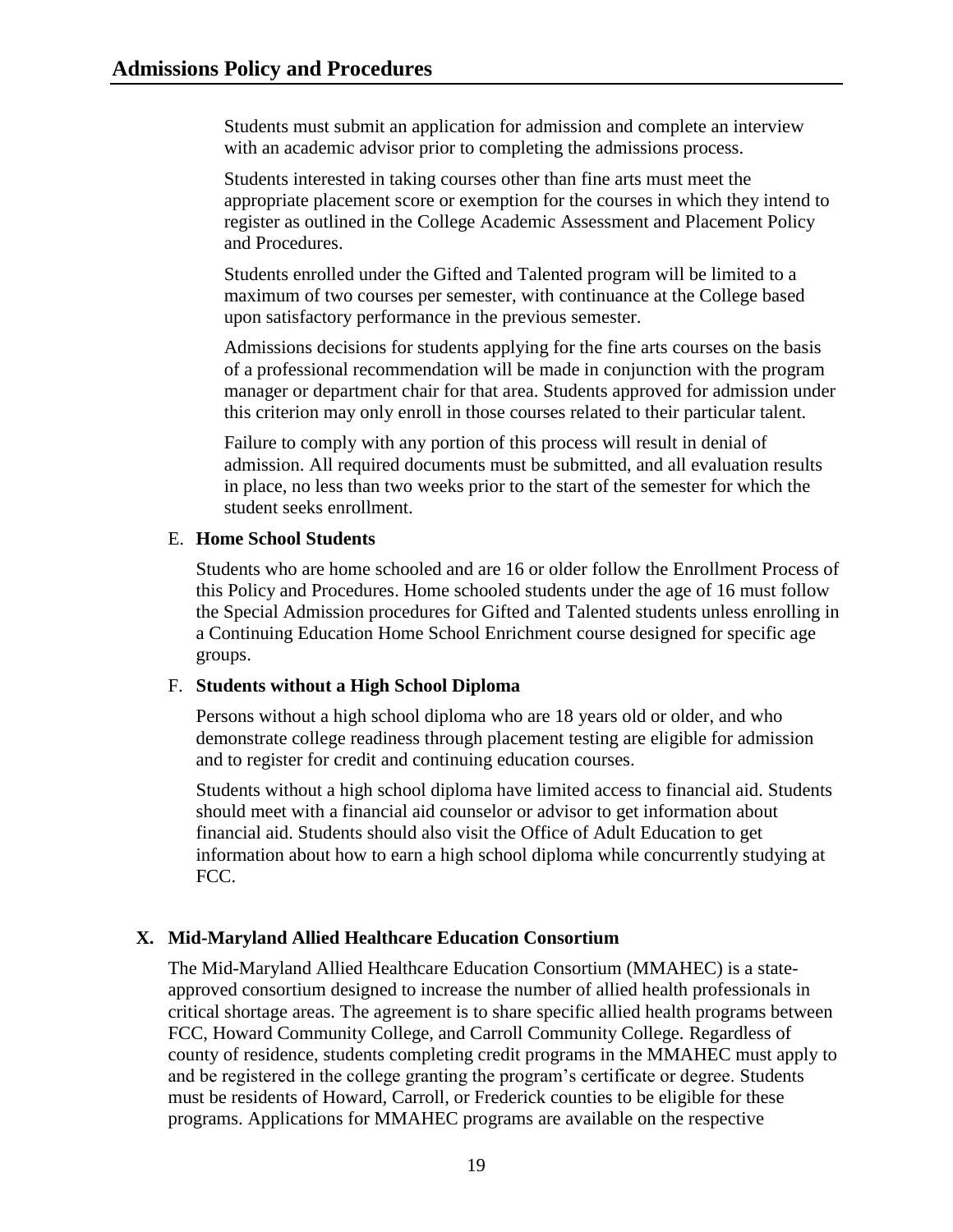Students must submit an application for admission and complete an interview with an academic advisor prior to completing the admissions process.

Students interested in taking courses other than fine arts must meet the appropriate placement score or exemption for the courses in which they intend to register as outlined in the College Academic Assessment and Placement Policy and Procedures.

Students enrolled under the Gifted and Talented program will be limited to a maximum of two courses per semester, with continuance at the College based upon satisfactory performance in the previous semester.

Admissions decisions for students applying for the fine arts courses on the basis of a professional recommendation will be made in conjunction with the program manager or department chair for that area. Students approved for admission under this criterion may only enroll in those courses related to their particular talent.

Failure to comply with any portion of this process will result in denial of admission. All required documents must be submitted, and all evaluation results in place, no less than two weeks prior to the start of the semester for which the student seeks enrollment.

#### <span id="page-19-0"></span>E. **Home School Students**

Students who are home schooled and are 16 or older follow the Enrollment Process of this Policy and Procedures. Home schooled students under the age of 16 must follow the Special Admission procedures for Gifted and Talented students unless enrolling in a Continuing Education Home School Enrichment course designed for specific age groups.

#### <span id="page-19-1"></span>F. **Students without a High School Diploma**

Persons without a high school diploma who are 18 years old or older, and who demonstrate college readiness through placement testing are eligible for admission and to register for credit and continuing education courses.

Students without a high school diploma have limited access to financial aid. Students should meet with a financial aid counselor or advisor to get information about financial aid. Students should also visit the Office of Adult Education to get information about how to earn a high school diploma while concurrently studying at FCC.

## <span id="page-19-2"></span>**X. Mid-Maryland Allied Healthcare Education Consortium**

The Mid-Maryland Allied Healthcare Education Consortium (MMAHEC) is a stateapproved consortium designed to increase the number of allied health professionals in critical shortage areas. The agreement is to share specific allied health programs between FCC, Howard Community College, and Carroll Community College. Regardless of county of residence, students completing credit programs in the MMAHEC must apply to and be registered in the college granting the program's certificate or degree. Students must be residents of Howard, Carroll, or Frederick counties to be eligible for these programs. Applications for MMAHEC programs are available on the respective